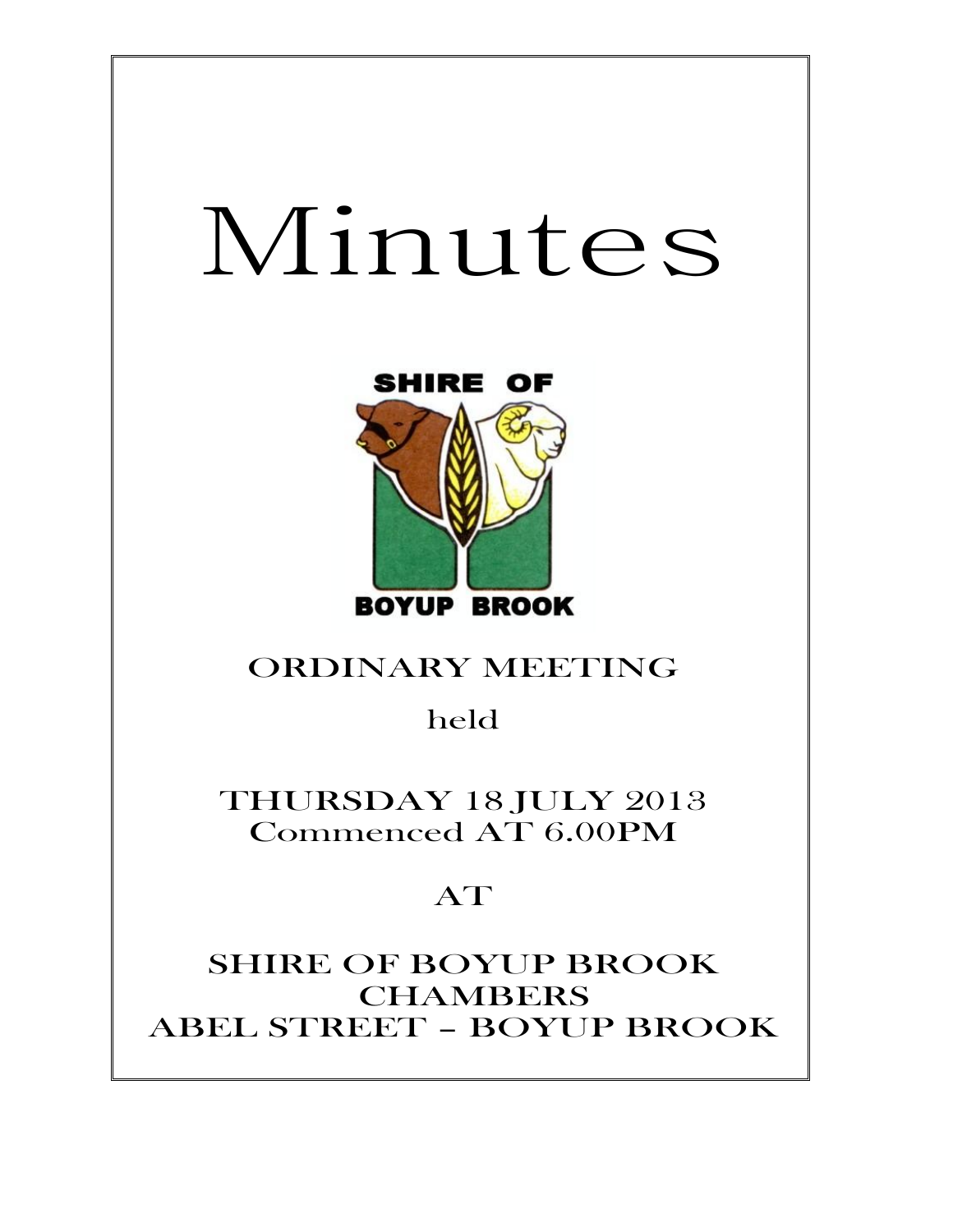# Minutes



# ORDINARY MEETING

# held

THURSDAY 18 JULY 2013 Commenced AT 6.00PM

# AT

SHIRE OF BOYUP BROOK CHAMBERS ABEL STREET – BOYUP BROOK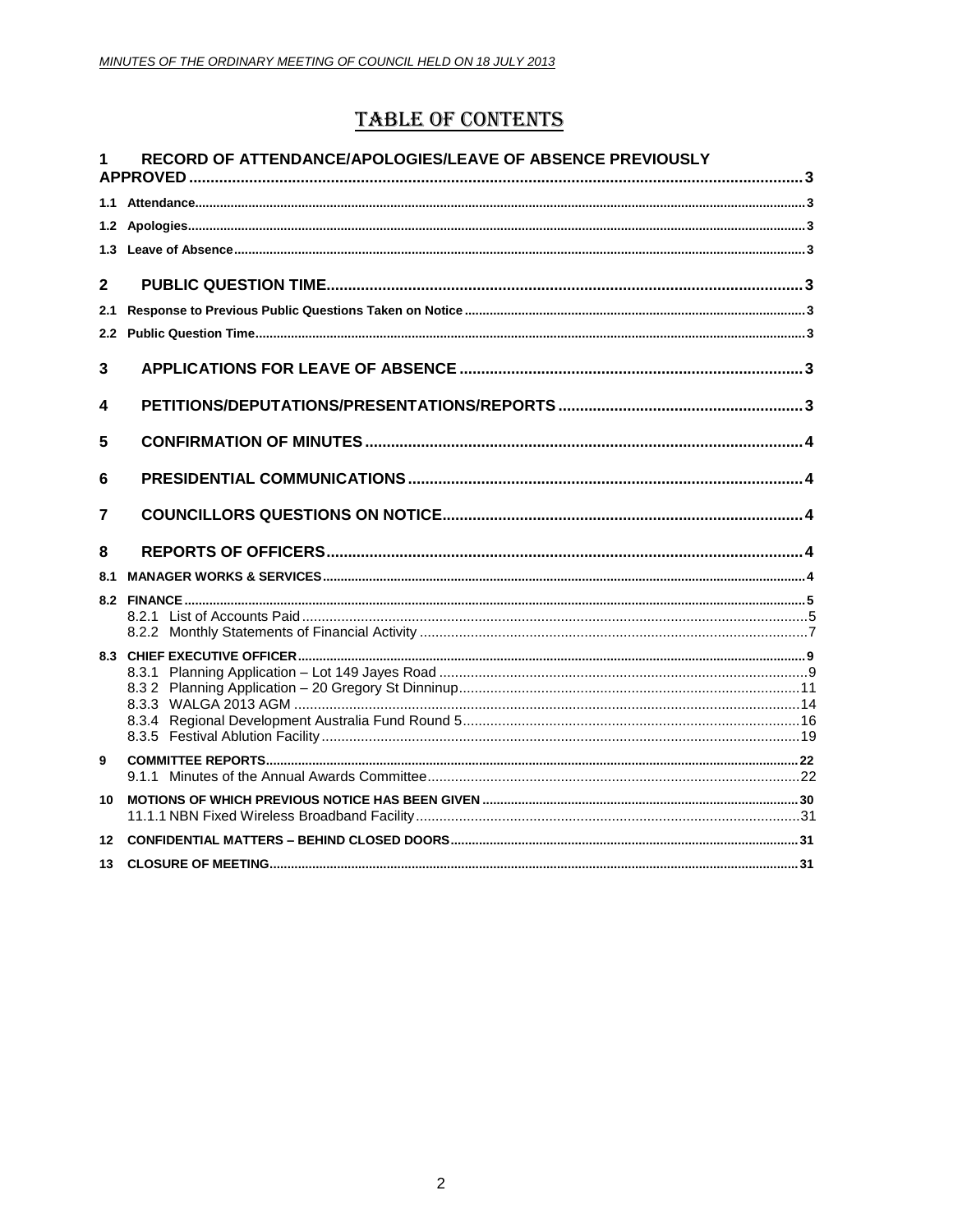# **TABLE OF CONTENTS**

| 1            | RECORD OF ATTENDANCE/APOLOGIES/LEAVE OF ABSENCE PREVIOUSLY |  |
|--------------|------------------------------------------------------------|--|
|              |                                                            |  |
|              |                                                            |  |
|              |                                                            |  |
| $\mathbf{2}$ |                                                            |  |
| 2.1          |                                                            |  |
| 2.2          |                                                            |  |
| 3            |                                                            |  |
| 4            |                                                            |  |
| 5            |                                                            |  |
| 6            |                                                            |  |
| 7            |                                                            |  |
| 8            |                                                            |  |
| 8.1          |                                                            |  |
|              |                                                            |  |
|              |                                                            |  |
|              |                                                            |  |
|              |                                                            |  |
|              |                                                            |  |
|              |                                                            |  |
| 9            |                                                            |  |
|              |                                                            |  |
| 10           |                                                            |  |
| 12           |                                                            |  |
| 13           |                                                            |  |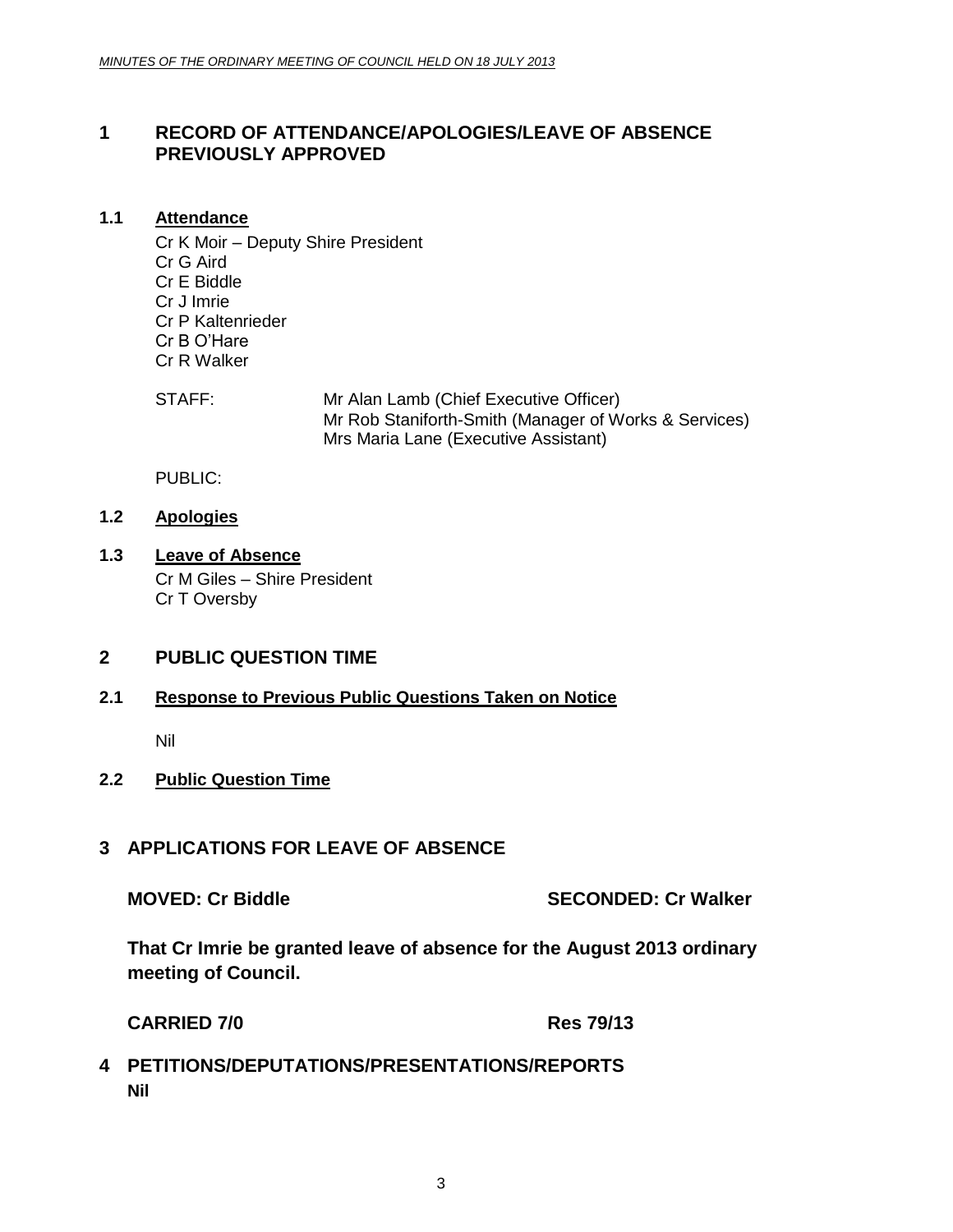# <span id="page-2-0"></span>**1 RECORD OF ATTENDANCE/APOLOGIES/LEAVE OF ABSENCE PREVIOUSLY APPROVED**

# <span id="page-2-1"></span>**1.1 Attendance**

Cr K Moir – Deputy Shire President Cr G Aird Cr E Biddle Cr J Imrie Cr P Kaltenrieder Cr B O'Hare Cr R Walker

STAFF: Mr Alan Lamb (Chief Executive Officer) Mr Rob Staniforth-Smith (Manager of Works & Services) Mrs Maria Lane (Executive Assistant)

PUBLIC:

# <span id="page-2-2"></span>**1.2 Apologies**

<span id="page-2-3"></span>**1.3 Leave of Absence** Cr M Giles – Shire President Cr T Oversby

# <span id="page-2-4"></span>**2 PUBLIC QUESTION TIME**

# <span id="page-2-5"></span>**2.1 Response to Previous Public Questions Taken on Notice**

Nil

# <span id="page-2-6"></span>**2.2 Public Question Time**

# <span id="page-2-7"></span>**3 APPLICATIONS FOR LEAVE OF ABSENCE**

**MOVED: Cr Biddle SECONDED: Cr Walker**

**That Cr Imrie be granted leave of absence for the August 2013 ordinary meeting of Council.**

**CARRIED 7/0 Res 79/13**

# <span id="page-2-8"></span>**4 PETITIONS/DEPUTATIONS/PRESENTATIONS/REPORTS Nil**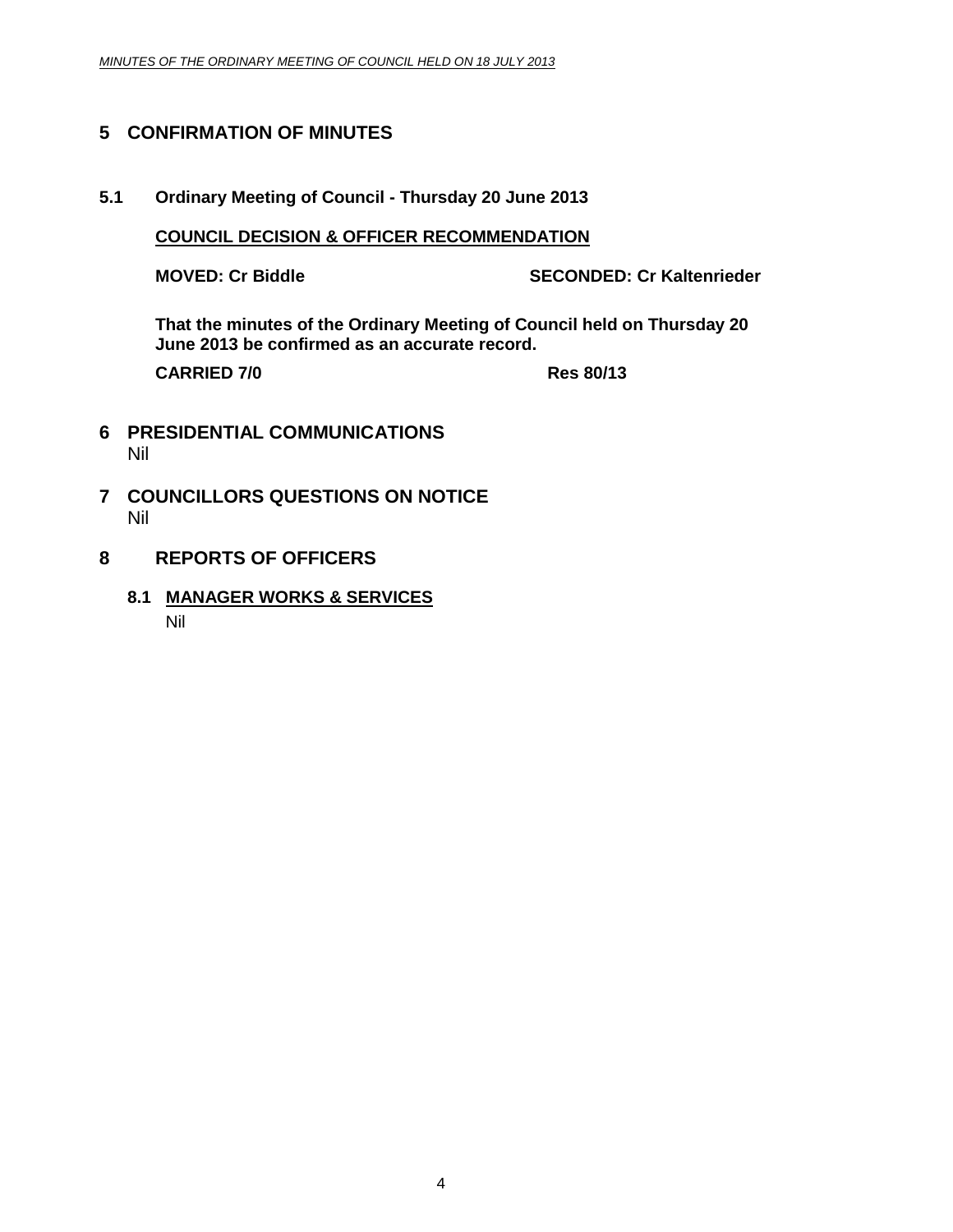# <span id="page-3-0"></span>**5 CONFIRMATION OF MINUTES**

**5.1 Ordinary Meeting of Council - Thursday 20 June 2013**

## **COUNCIL DECISION & OFFICER RECOMMENDATION**

**MOVED: Cr Biddle SECONDED: Cr Kaltenrieder**

**That the minutes of the Ordinary Meeting of Council held on Thursday 20 June 2013 be confirmed as an accurate record.**

**CARRIED 7/0 Res 80/13**

- <span id="page-3-2"></span><span id="page-3-1"></span>**6 PRESIDENTIAL COMMUNICATIONS** Nil
- **7 COUNCILLORS QUESTIONS ON NOTICE** Nil
- <span id="page-3-4"></span><span id="page-3-3"></span>**8 REPORTS OF OFFICERS**
	- **8.1 MANAGER WORKS & SERVICES**

Nil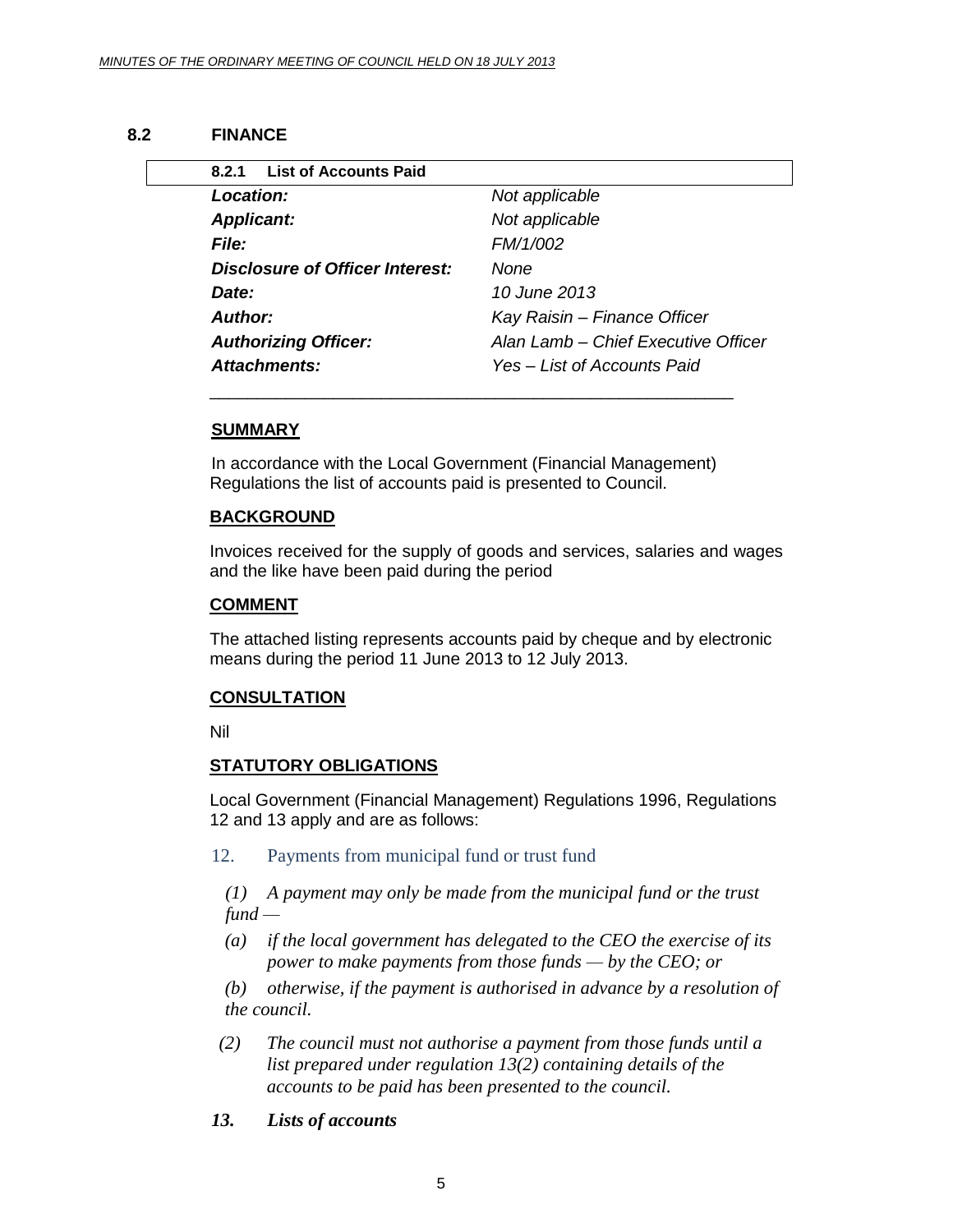#### **8.2 FINANCE**

<span id="page-4-1"></span><span id="page-4-0"></span>

| <b>List of Accounts Paid</b><br>8.2.1 |                                     |
|---------------------------------------|-------------------------------------|
| Location:                             | Not applicable                      |
| <b>Applicant:</b>                     | Not applicable                      |
| File:                                 | FM/1/002                            |
| Disclosure of Officer Interest:       | None                                |
| Date:                                 | 10 June 2013                        |
| Author:                               | Kay Raisin - Finance Officer        |
| <b>Authorizing Officer:</b>           | Alan Lamb - Chief Executive Officer |
| Attachments:                          | Yes – List of Accounts Paid         |

## **SUMMARY**

In accordance with the Local Government (Financial Management) Regulations the list of accounts paid is presented to Council.

#### **BACKGROUND**

Invoices received for the supply of goods and services, salaries and wages and the like have been paid during the period

#### **COMMENT**

The attached listing represents accounts paid by cheque and by electronic means during the period 11 June 2013 to 12 July 2013.

#### **CONSULTATION**

Nil

#### **STATUTORY OBLIGATIONS**

Local Government (Financial Management) Regulations 1996, Regulations 12 and 13 apply and are as follows:

12. Payments from municipal fund or trust fund

*(1) A payment may only be made from the municipal fund or the trust fund —*

*(a) if the local government has delegated to the CEO the exercise of its power to make payments from those funds — by the CEO; or*

*(b) otherwise, if the payment is authorised in advance by a resolution of the council.*

- *(2) The council must not authorise a payment from those funds until a list prepared under regulation 13(2) containing details of the accounts to be paid has been presented to the council.*
- *13. Lists of accounts*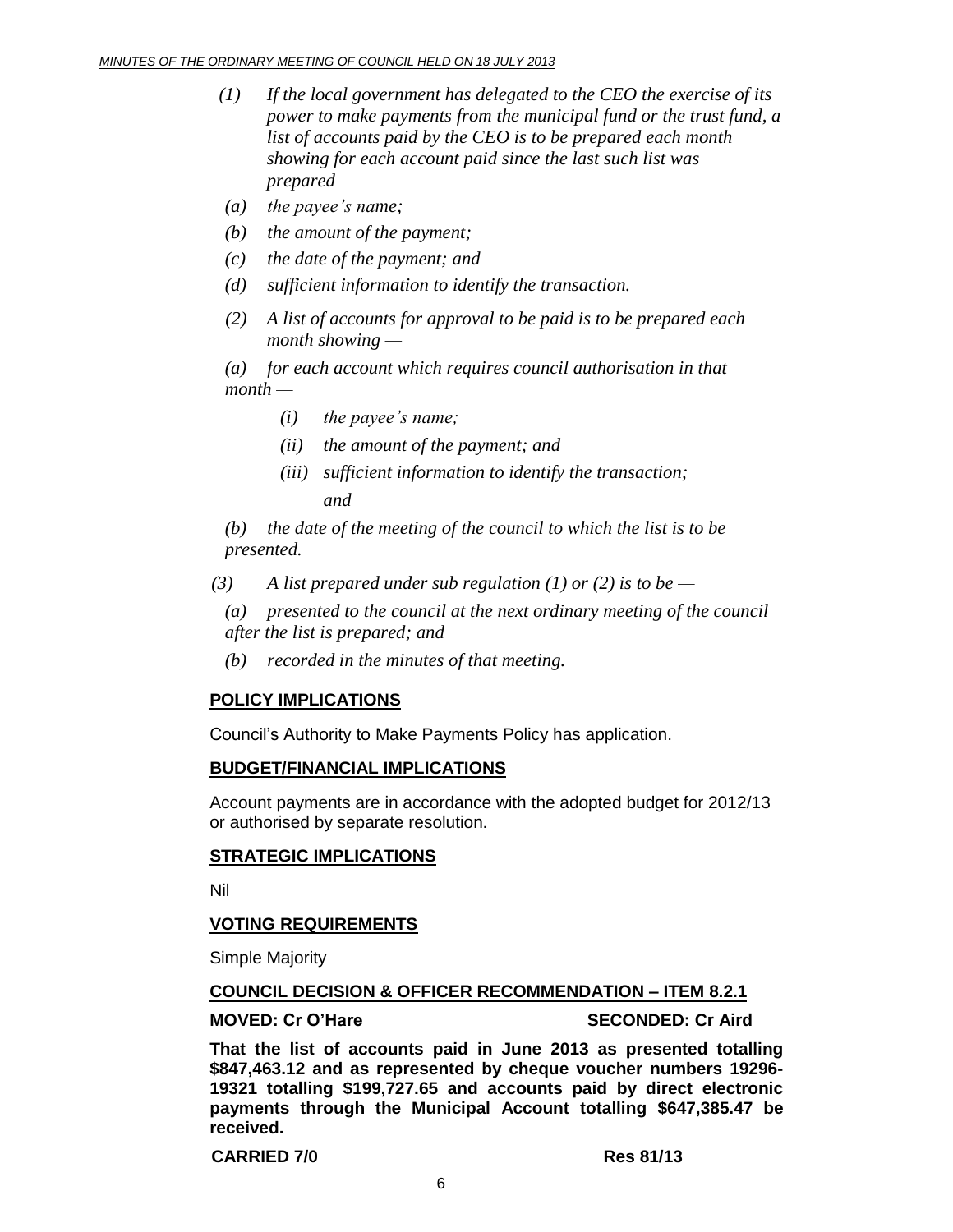- *(1) If the local government has delegated to the CEO the exercise of its power to make payments from the municipal fund or the trust fund, a list of accounts paid by the CEO is to be prepared each month showing for each account paid since the last such list was prepared —*
- *(a) the payee's name;*
- *(b) the amount of the payment;*
- *(c) the date of the payment; and*
- *(d) sufficient information to identify the transaction.*
- *(2) A list of accounts for approval to be paid is to be prepared each month showing —*

*(a) for each account which requires council authorisation in that month —*

- *(i) the payee's name;*
- *(ii) the amount of the payment; and*
- *(iii) sufficient information to identify the transaction; and*

*(b) the date of the meeting of the council to which the list is to be presented.*

*(3) A list prepared under sub regulation (1) or (2) is to be —*

*(a) presented to the council at the next ordinary meeting of the council after the list is prepared; and*

*(b) recorded in the minutes of that meeting.*

# **POLICY IMPLICATIONS**

Council's Authority to Make Payments Policy has application.

#### **BUDGET/FINANCIAL IMPLICATIONS**

Account payments are in accordance with the adopted budget for 2012/13 or authorised by separate resolution.

#### **STRATEGIC IMPLICATIONS**

Nil

# **VOTING REQUIREMENTS**

Simple Majority

#### **COUNCIL DECISION & OFFICER RECOMMENDATION – ITEM 8.2.1**

**MOVED: Cr O'Hare SECONDED: Cr Aird**

**That the list of accounts paid in June 2013 as presented totalling \$847,463.12 and as represented by cheque voucher numbers 19296- 19321 totalling \$199,727.65 and accounts paid by direct electronic payments through the Municipal Account totalling \$647,385.47 be received.**

**CARRIED 7/0 Res 81/13**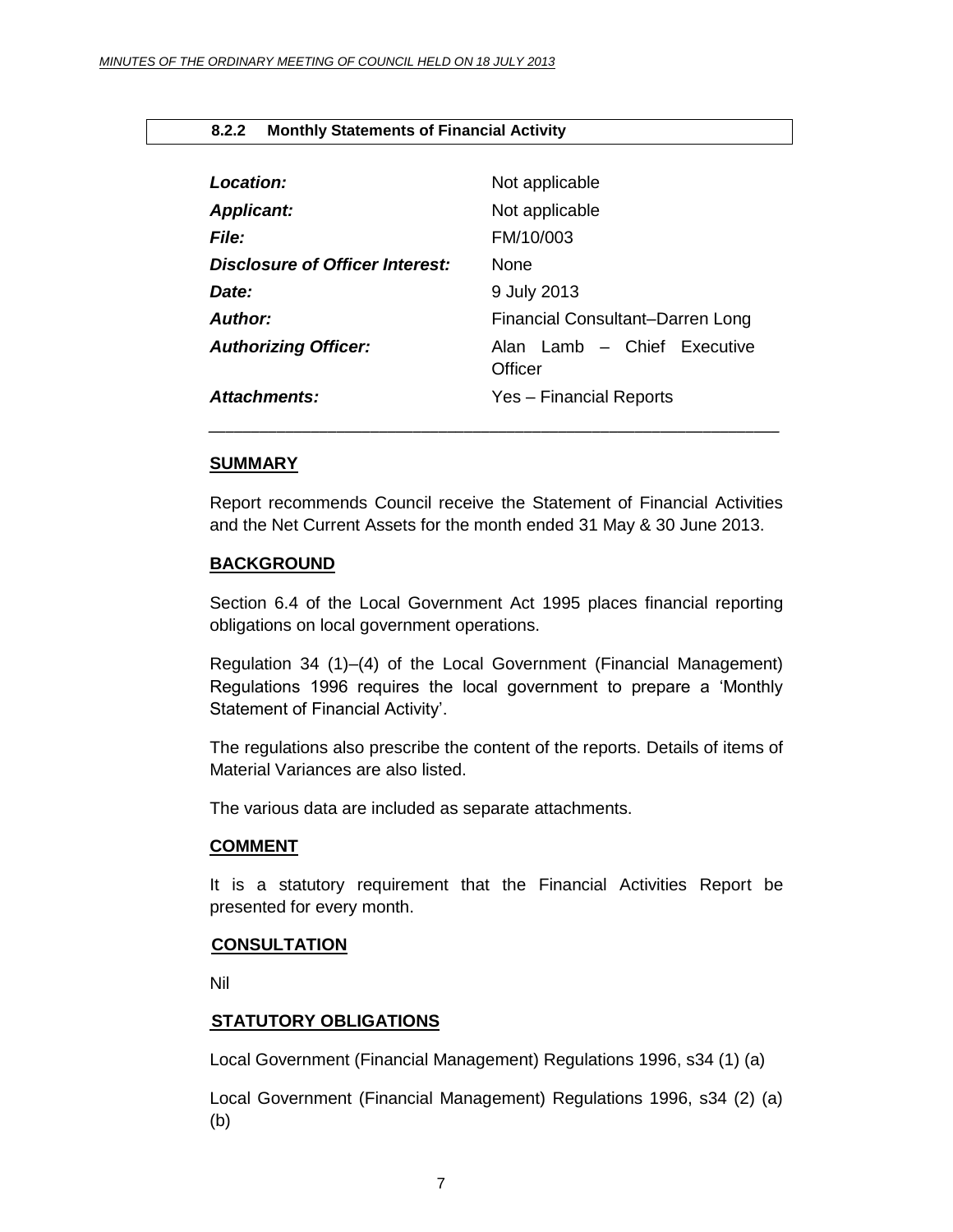#### <span id="page-6-0"></span>**8.2.2 Monthly Statements of Financial Activity**

| Location:                       | Not applicable                         |
|---------------------------------|----------------------------------------|
| <b>Applicant:</b>               | Not applicable                         |
| File:                           | FM/10/003                              |
| Disclosure of Officer Interest: | <b>None</b>                            |
| Date:                           | 9 July 2013                            |
| Author:                         | Financial Consultant-Darren Long       |
| <b>Authorizing Officer:</b>     | Alan Lamb - Chief Executive<br>Officer |
| Attachments:                    | Yes - Financial Reports                |

#### **SUMMARY**

Report recommends Council receive the Statement of Financial Activities and the Net Current Assets for the month ended 31 May & 30 June 2013.

#### **BACKGROUND**

Section 6.4 of the Local Government Act 1995 places financial reporting obligations on local government operations.

Regulation 34 (1)–(4) of the Local Government (Financial Management) Regulations 1996 requires the local government to prepare a 'Monthly Statement of Financial Activity'.

The regulations also prescribe the content of the reports. Details of items of Material Variances are also listed.

The various data are included as separate attachments.

#### **COMMENT**

It is a statutory requirement that the Financial Activities Report be presented for every month.

#### **CONSULTATION**

Nil

#### **STATUTORY OBLIGATIONS**

Local Government (Financial Management) Regulations 1996, s34 (1) (a)

Local Government (Financial Management) Regulations 1996, s34 (2) (a) (b)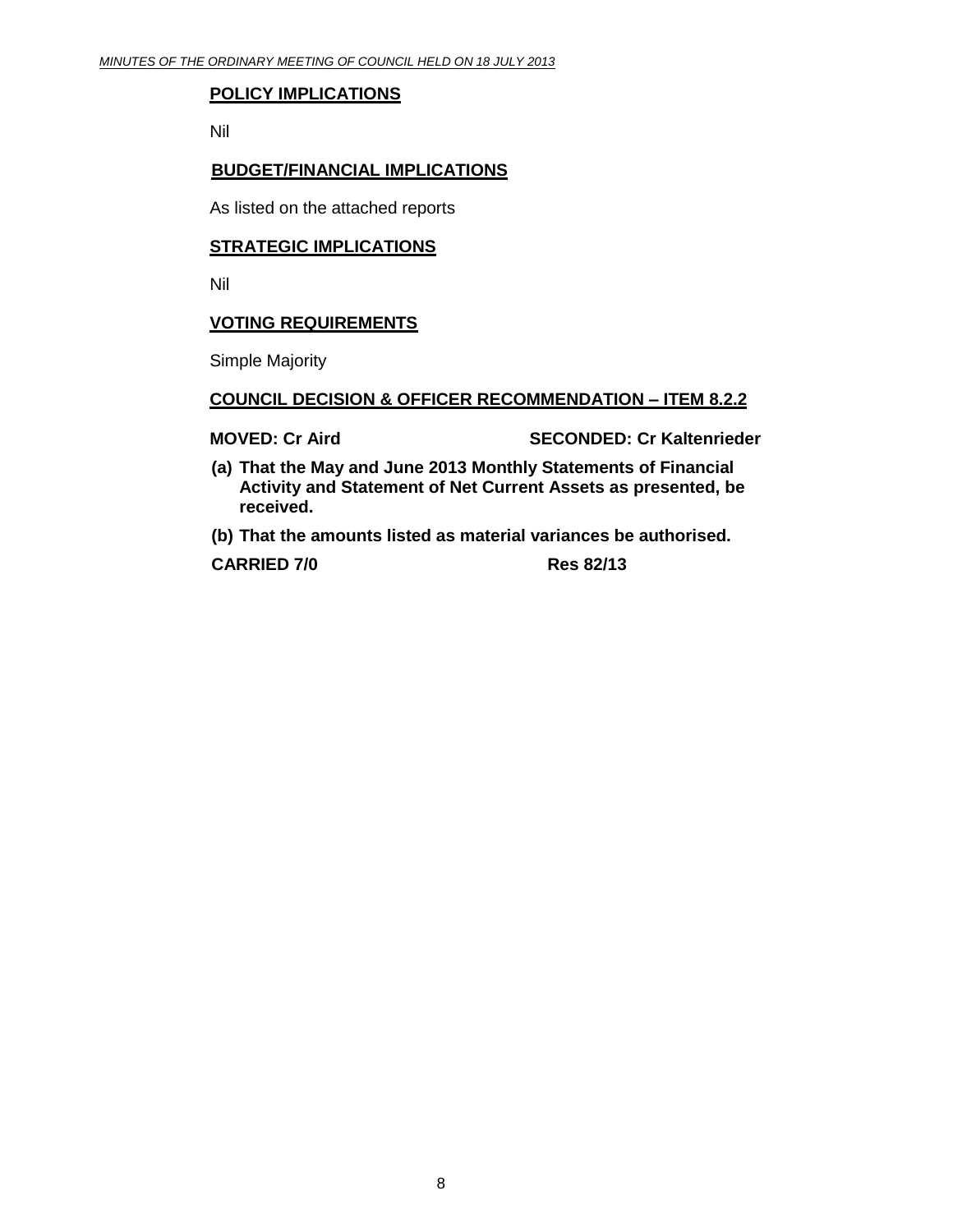# **POLICY IMPLICATIONS**

Nil

## **BUDGET/FINANCIAL IMPLICATIONS**

As listed on the attached reports

## **STRATEGIC IMPLICATIONS**

Nil

# **VOTING REQUIREMENTS**

Simple Majority

#### **COUNCIL DECISION & OFFICER RECOMMENDATION – ITEM 8.2.2**

**MOVED:** Cr Aird SECONDED: Cr Kaltenrieder

- **(a) That the May and June 2013 Monthly Statements of Financial Activity and Statement of Net Current Assets as presented, be received.**
- **(b) That the amounts listed as material variances be authorised.**

**CARRIED 7/0 Res 82/13**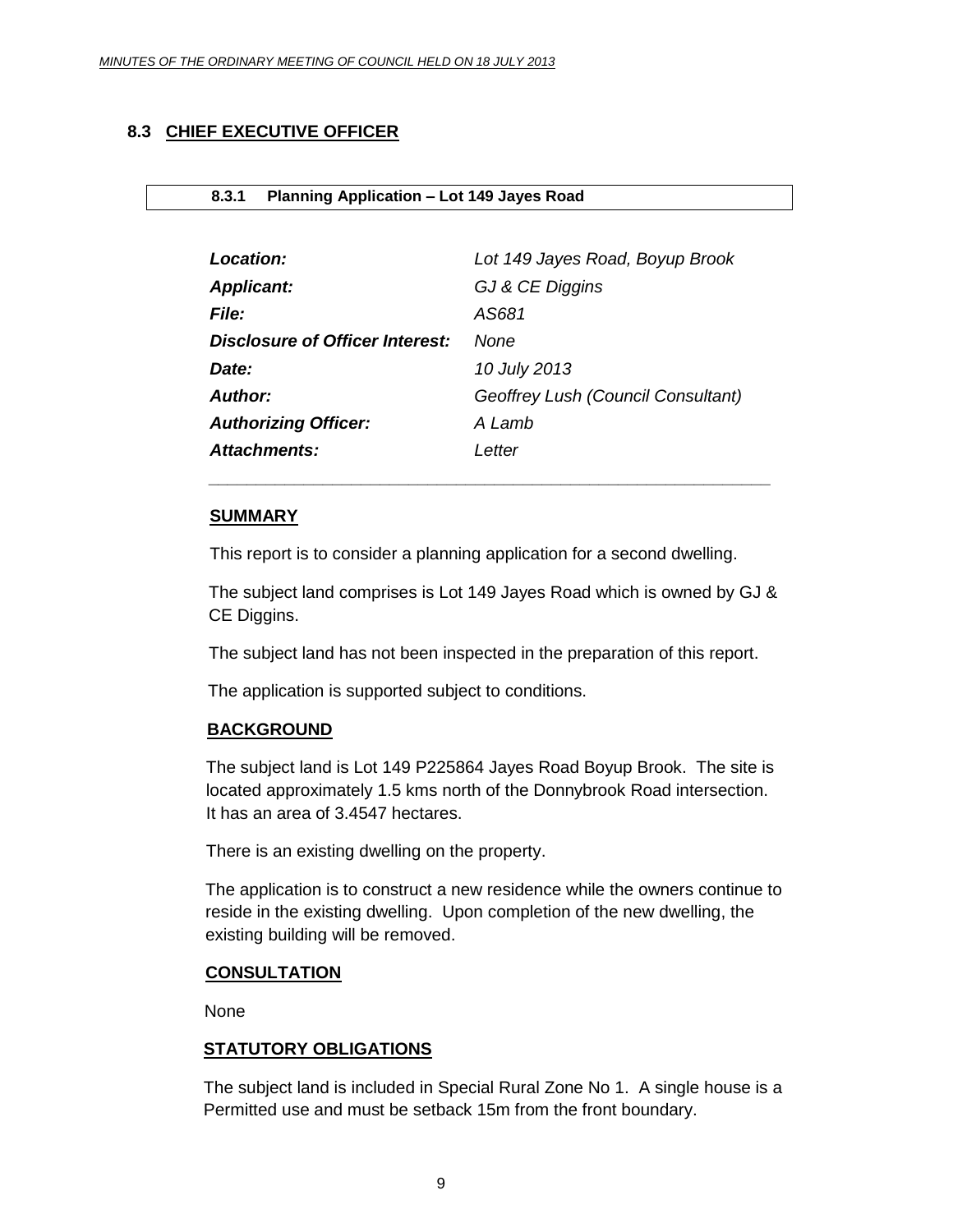# <span id="page-8-0"></span>**8.3 CHIEF EXECUTIVE OFFICER**

#### <span id="page-8-1"></span>**8.3.1 Planning Application – Lot 149 Jayes Road**

| <b>Location:</b>                | Lot 149 Jayes Road, Boyup Brook    |
|---------------------------------|------------------------------------|
| <b>Applicant:</b>               | GJ & CE Diggins                    |
| <b>File:</b>                    | AS681                              |
| Disclosure of Officer Interest: | None                               |
| Date:                           | 10 July 2013                       |
| Author:                         | Geoffrey Lush (Council Consultant) |
| <b>Authorizing Officer:</b>     | A Lamb                             |
| Attachments:                    | Letter                             |

#### **SUMMARY**

This report is to consider a planning application for a second dwelling.

The subject land comprises is Lot 149 Jayes Road which is owned by GJ & CE Diggins.

*\_\_\_\_\_\_\_\_\_\_\_\_\_\_\_\_\_\_\_\_\_\_\_\_\_\_\_\_\_\_\_\_\_\_\_\_\_\_\_\_\_\_\_\_\_\_\_\_\_\_\_\_\_\_\_\_\_\_\_*

The subject land has not been inspected in the preparation of this report.

The application is supported subject to conditions.

# **BACKGROUND**

The subject land is Lot 149 P225864 Jayes Road Boyup Brook. The site is located approximately 1.5 kms north of the Donnybrook Road intersection. It has an area of 3.4547 hectares.

There is an existing dwelling on the property.

The application is to construct a new residence while the owners continue to reside in the existing dwelling. Upon completion of the new dwelling, the existing building will be removed.

# **CONSULTATION**

None

# **STATUTORY OBLIGATIONS**

The subject land is included in Special Rural Zone No 1. A single house is a Permitted use and must be setback 15m from the front boundary.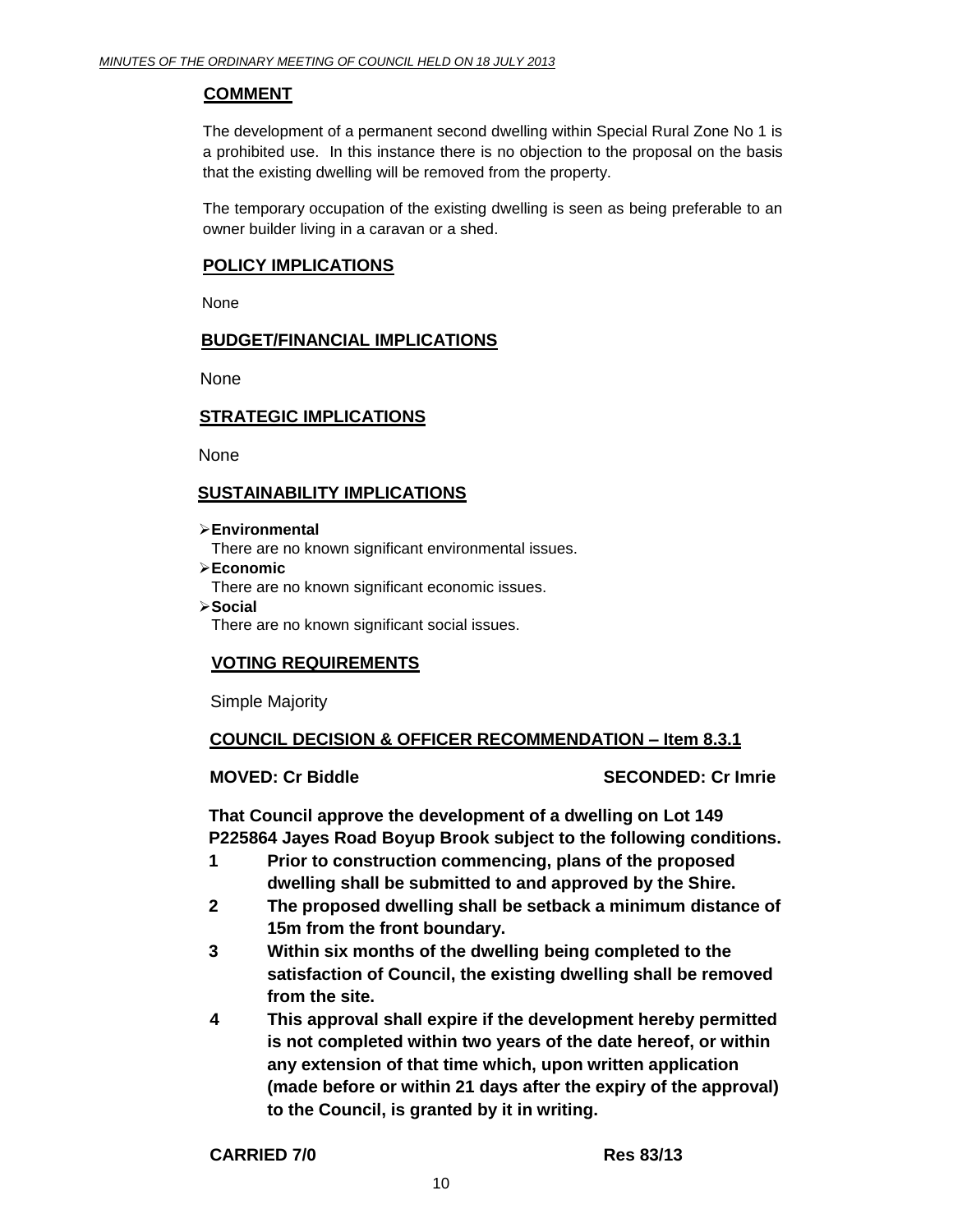# **COMMENT**

The development of a permanent second dwelling within Special Rural Zone No 1 is a prohibited use. In this instance there is no objection to the proposal on the basis that the existing dwelling will be removed from the property.

The temporary occupation of the existing dwelling is seen as being preferable to an owner builder living in a caravan or a shed.

# **POLICY IMPLICATIONS**

None

# **BUDGET/FINANCIAL IMPLICATIONS**

None

## **STRATEGIC IMPLICATIONS**

None

# **SUSTAINABILITY IMPLICATIONS**

**Environmental** 

There are no known significant environmental issues.

**Economic** 

There are no known significant economic issues.

**Social** 

There are no known significant social issues.

# **VOTING REQUIREMENTS**

Simple Majority

# **COUNCIL DECISION & OFFICER RECOMMENDATION – Item 8.3.1**

**MOVED: Cr Biddle SECONDED: Cr Imrie**

**That Council approve the development of a dwelling on Lot 149 P225864 Jayes Road Boyup Brook subject to the following conditions.**

- **1 Prior to construction commencing, plans of the proposed dwelling shall be submitted to and approved by the Shire.**
- **2 The proposed dwelling shall be setback a minimum distance of 15m from the front boundary.**
- **3 Within six months of the dwelling being completed to the satisfaction of Council, the existing dwelling shall be removed from the site.**
- **4 This approval shall expire if the development hereby permitted is not completed within two years of the date hereof, or within any extension of that time which, upon written application (made before or within 21 days after the expiry of the approval) to the Council, is granted by it in writing.**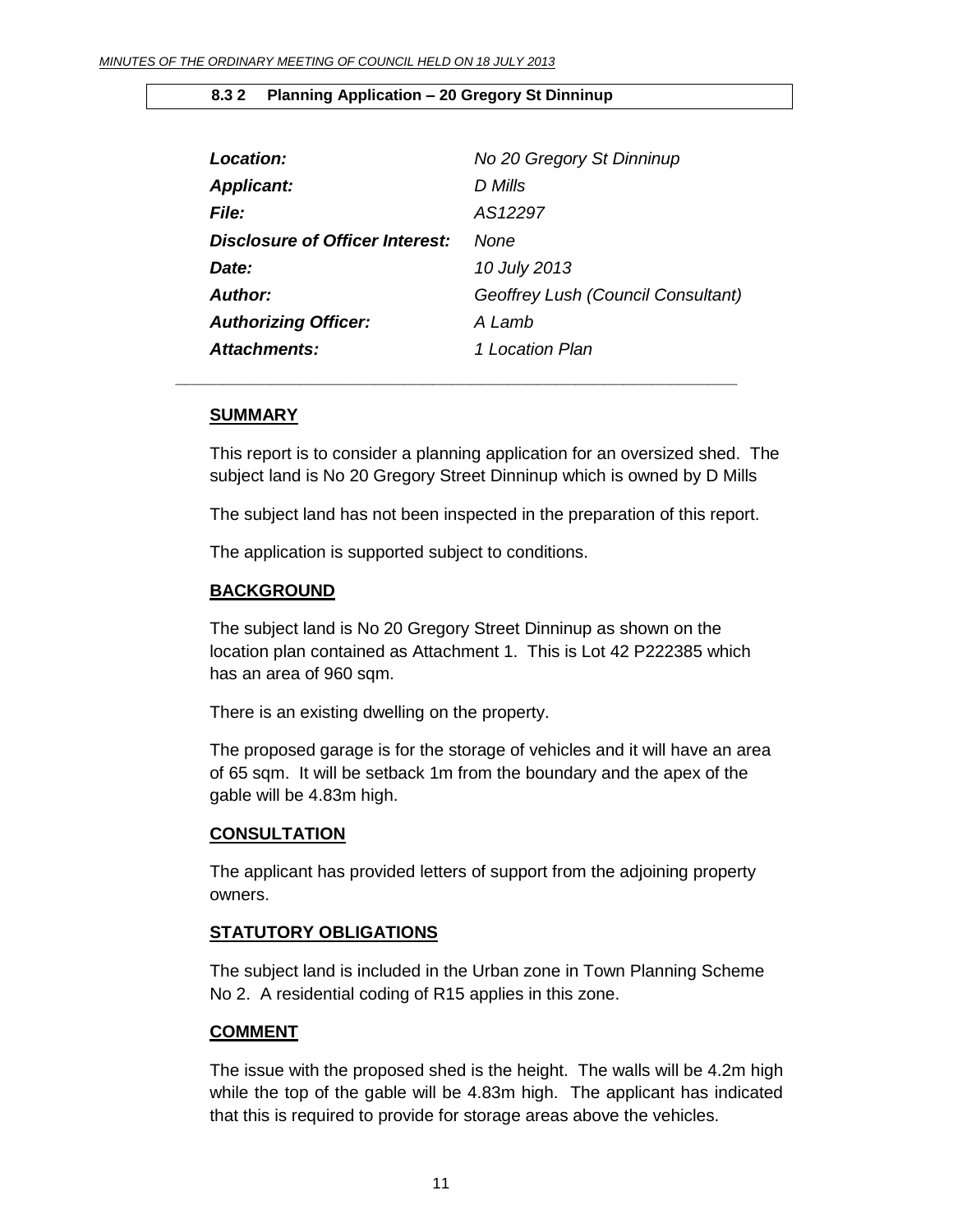#### <span id="page-10-0"></span>**8.3 2 Planning Application – 20 Gregory St Dinninup**

| Location:                       | No 20 Gregory St Dinninup          |
|---------------------------------|------------------------------------|
| <b>Applicant:</b>               | D Mills                            |
| <i>File:</i>                    | AS12297                            |
| Disclosure of Officer Interest: | None                               |
| Date:                           | 10 July 2013                       |
| Author:                         | Geoffrey Lush (Council Consultant) |
| <b>Authorizing Officer:</b>     | A Lamb                             |
| <b>Attachments:</b>             | 1 Location Plan                    |

*\_\_\_\_\_\_\_\_\_\_\_\_\_\_\_\_\_\_\_\_\_\_\_\_\_\_\_\_\_\_\_\_\_\_\_\_\_\_\_\_\_\_\_\_\_\_\_\_\_\_\_\_\_\_\_\_\_\_\_*

#### **SUMMARY**

This report is to consider a planning application for an oversized shed. The subject land is No 20 Gregory Street Dinninup which is owned by D Mills

The subject land has not been inspected in the preparation of this report.

The application is supported subject to conditions.

#### **BACKGROUND**

The subject land is No 20 Gregory Street Dinninup as shown on the location plan contained as Attachment 1. This is Lot 42 P222385 which has an area of 960 sqm.

There is an existing dwelling on the property.

The proposed garage is for the storage of vehicles and it will have an area of 65 sqm. It will be setback 1m from the boundary and the apex of the gable will be 4.83m high.

#### **CONSULTATION**

The applicant has provided letters of support from the adjoining property owners.

#### **STATUTORY OBLIGATIONS**

The subject land is included in the Urban zone in Town Planning Scheme No 2. A residential coding of R15 applies in this zone.

#### **COMMENT**

The issue with the proposed shed is the height. The walls will be 4.2m high while the top of the gable will be 4.83m high. The applicant has indicated that this is required to provide for storage areas above the vehicles.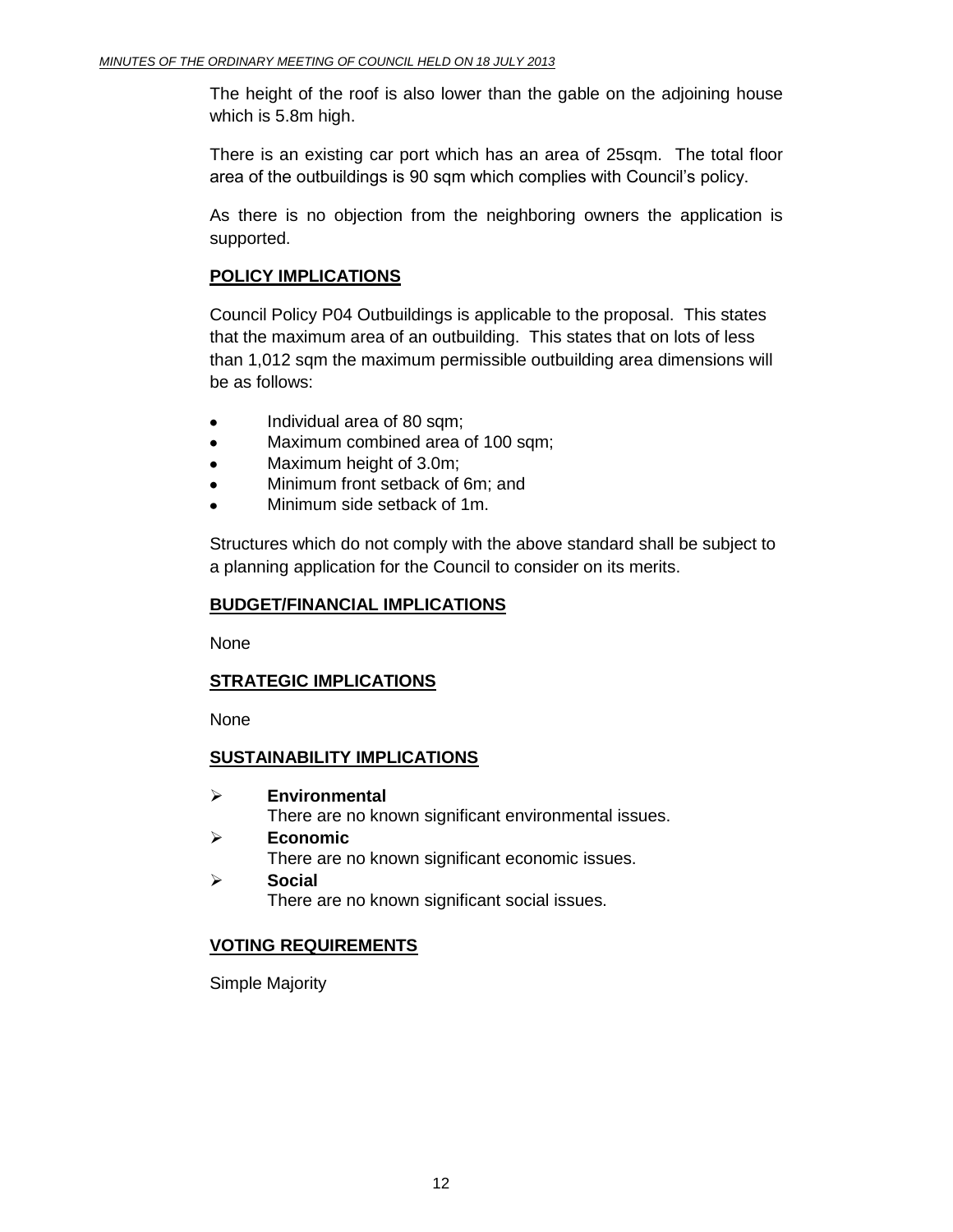The height of the roof is also lower than the gable on the adjoining house which is 5.8m high.

There is an existing car port which has an area of 25sqm. The total floor area of the outbuildings is 90 sqm which complies with Council's policy.

As there is no objection from the neighboring owners the application is supported.

# **POLICY IMPLICATIONS**

Council Policy P04 Outbuildings is applicable to the proposal. This states that the maximum area of an outbuilding. This states that on lots of less than 1,012 sqm the maximum permissible outbuilding area dimensions will be as follows:

- Individual area of 80 sqm;
- Maximum combined area of 100 sqm;  $\bullet$
- Maximum height of 3.0m;
- Minimum front setback of 6m; and
- Minimum side setback of 1m.

Structures which do not comply with the above standard shall be subject to a planning application for the Council to consider on its merits.

# **BUDGET/FINANCIAL IMPLICATIONS**

None

# **STRATEGIC IMPLICATIONS**

None

# **SUSTAINABILITY IMPLICATIONS**

- **Environmental**  There are no known significant environmental issues.
- **Economic**  There are no known significant economic issues.
- **Social**  There are no known significant social issues.

# **VOTING REQUIREMENTS**

Simple Majority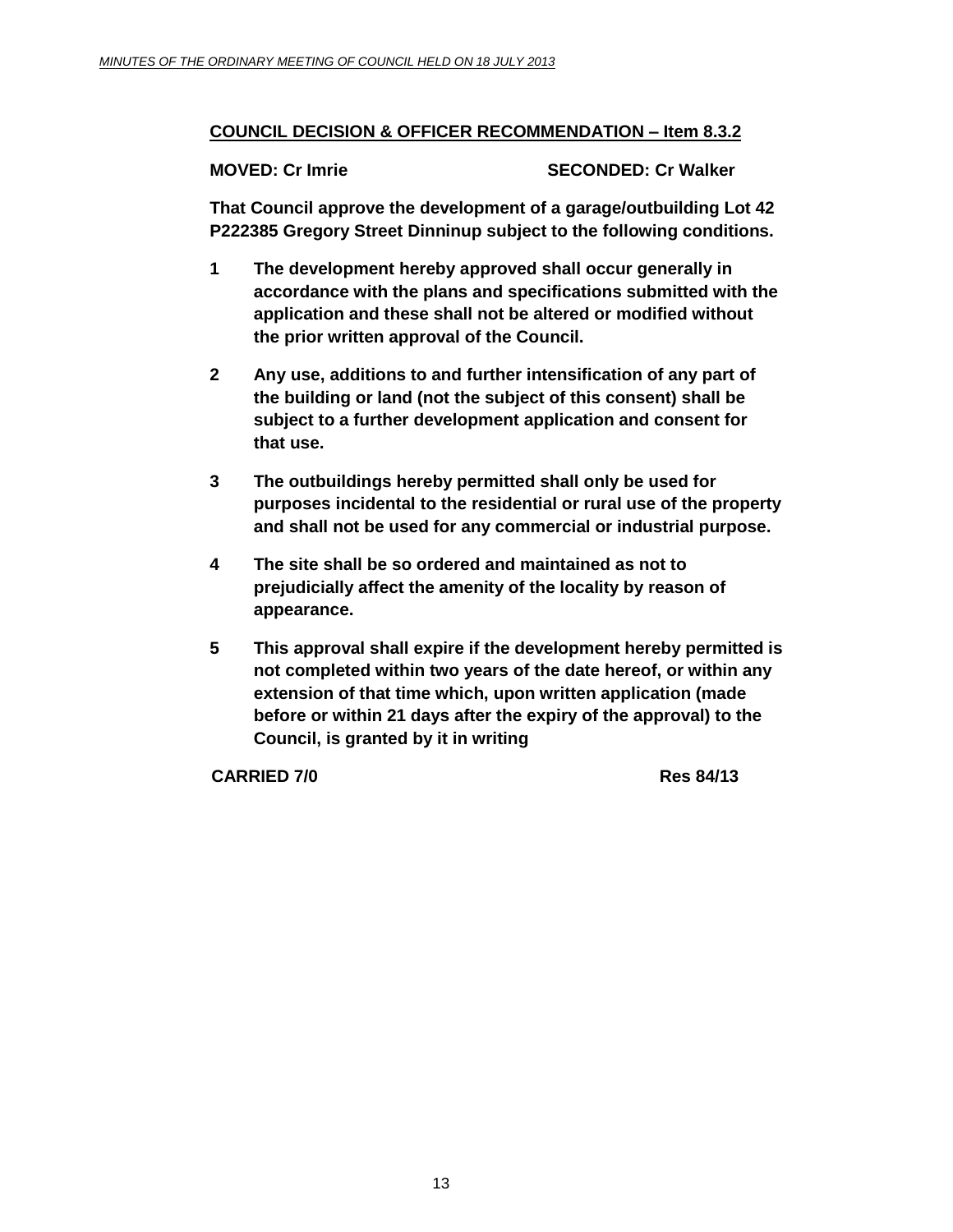# **COUNCIL DECISION & OFFICER RECOMMENDATION – Item 8.3.2**

# **MOVED: Cr Imrie SECONDED: Cr Walker**

**That Council approve the development of a garage/outbuilding Lot 42 P222385 Gregory Street Dinninup subject to the following conditions.**

- **1 The development hereby approved shall occur generally in accordance with the plans and specifications submitted with the application and these shall not be altered or modified without the prior written approval of the Council.**
- **2 Any use, additions to and further intensification of any part of the building or land (not the subject of this consent) shall be subject to a further development application and consent for that use.**
- **3 The outbuildings hereby permitted shall only be used for purposes incidental to the residential or rural use of the property and shall not be used for any commercial or industrial purpose.**
- **4 The site shall be so ordered and maintained as not to prejudicially affect the amenity of the locality by reason of appearance.**
- **5 This approval shall expire if the development hereby permitted is not completed within two years of the date hereof, or within any extension of that time which, upon written application (made before or within 21 days after the expiry of the approval) to the Council, is granted by it in writing**

**CARRIED 7/0 Res 84/13**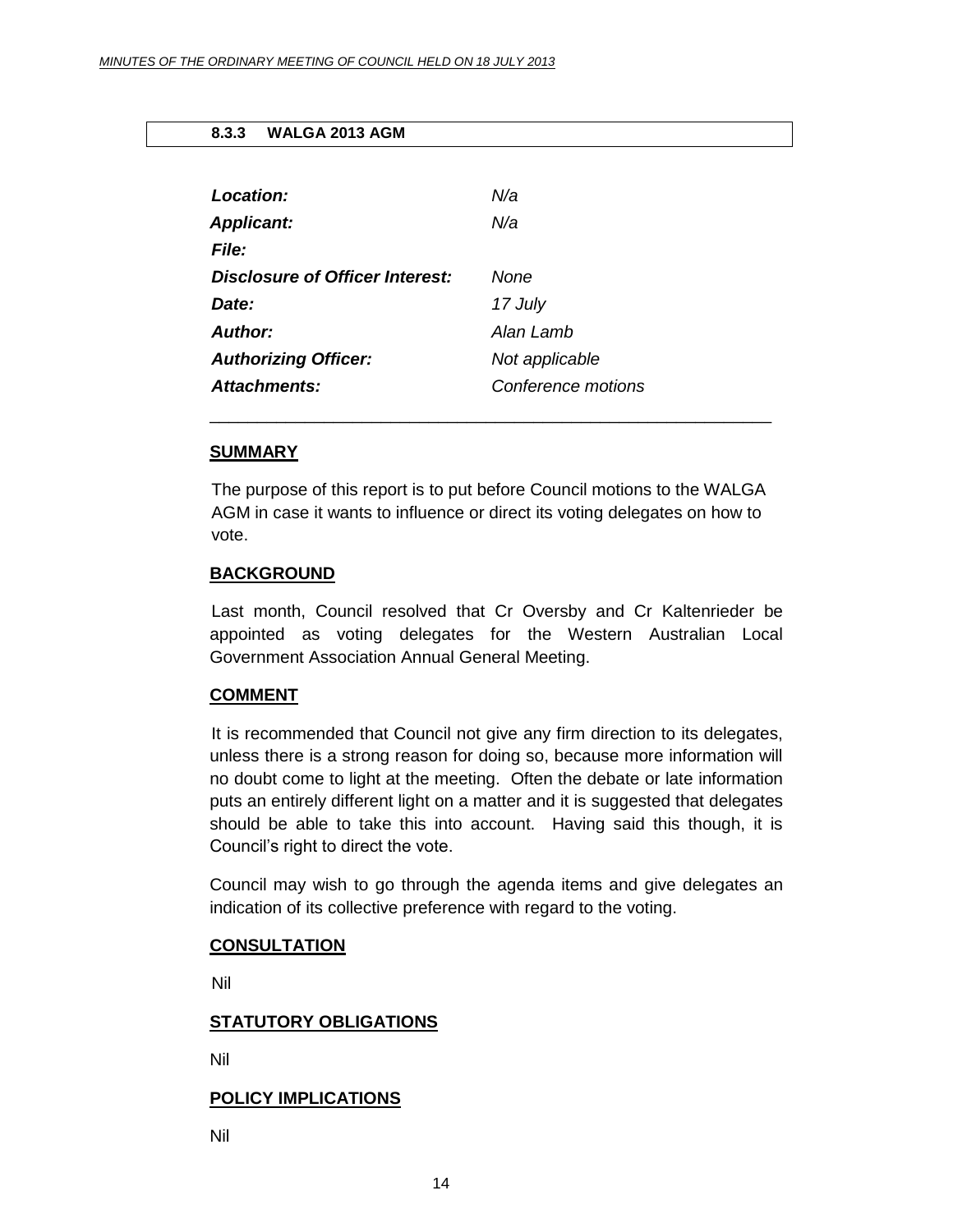#### <span id="page-13-0"></span>**8.3.3 WALGA 2013 AGM**

| Location:                       | N/a                |
|---------------------------------|--------------------|
| <b>Applicant:</b>               | N/a                |
| <b>File:</b>                    |                    |
| Disclosure of Officer Interest: | None               |
| Date:                           | 17 July            |
| Author:                         | Alan Lamb          |
| <b>Authorizing Officer:</b>     | Not applicable     |
| Attachments:                    | Conference motions |

#### **SUMMARY**

The purpose of this report is to put before Council motions to the WALGA AGM in case it wants to influence or direct its voting delegates on how to vote.

\_\_\_\_\_\_\_\_\_\_\_\_\_\_\_\_\_\_\_\_\_\_\_\_\_\_\_\_\_\_\_\_\_\_\_\_\_\_\_\_\_\_\_\_\_\_\_\_\_\_\_\_\_\_\_\_\_\_\_

#### **BACKGROUND**

Last month, Council resolved that Cr Oversby and Cr Kaltenrieder be appointed as voting delegates for the Western Australian Local Government Association Annual General Meeting.

#### **COMMENT**

It is recommended that Council not give any firm direction to its delegates, unless there is a strong reason for doing so, because more information will no doubt come to light at the meeting. Often the debate or late information puts an entirely different light on a matter and it is suggested that delegates should be able to take this into account. Having said this though, it is Council's right to direct the vote.

Council may wish to go through the agenda items and give delegates an indication of its collective preference with regard to the voting.

#### **CONSULTATION**

Nil

#### **STATUTORY OBLIGATIONS**

Nil

#### **POLICY IMPLICATIONS**

Nil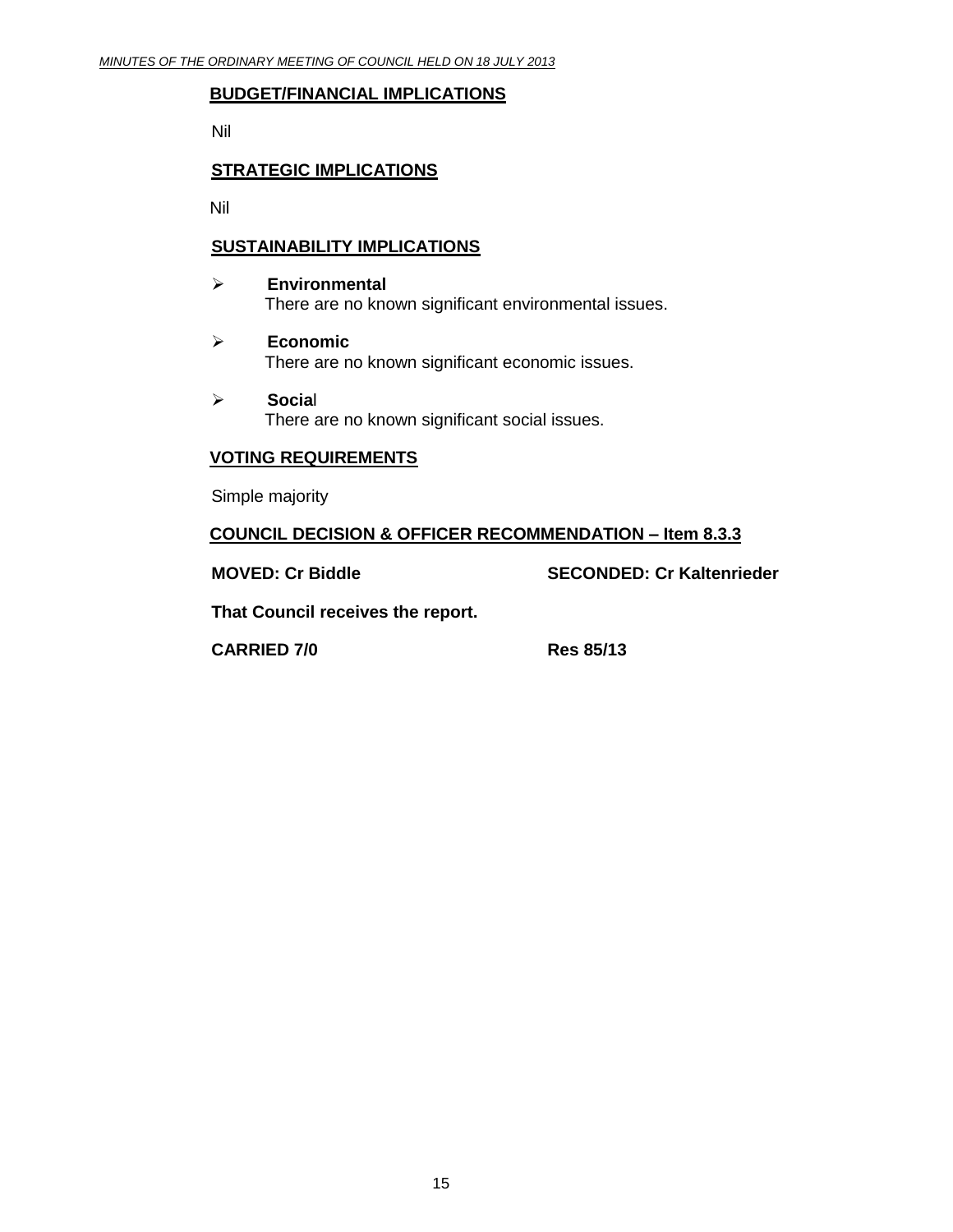#### **BUDGET/FINANCIAL IMPLICATIONS**

Nil

# **STRATEGIC IMPLICATIONS**

Nil

# **SUSTAINABILITY IMPLICATIONS**

- **Environmental** There are no known significant environmental issues.
- **Economic** There are no known significant economic issues.
- **Socia**l There are no known significant social issues.

# **VOTING REQUIREMENTS**

Simple majority

**COUNCIL DECISION & OFFICER RECOMMENDATION – Item 8.3.3**

**MOVED: Cr Biddle SECONDED: Cr Kaltenrieder**

**That Council receives the report.** 

**CARRIED 7/0 Res 85/13**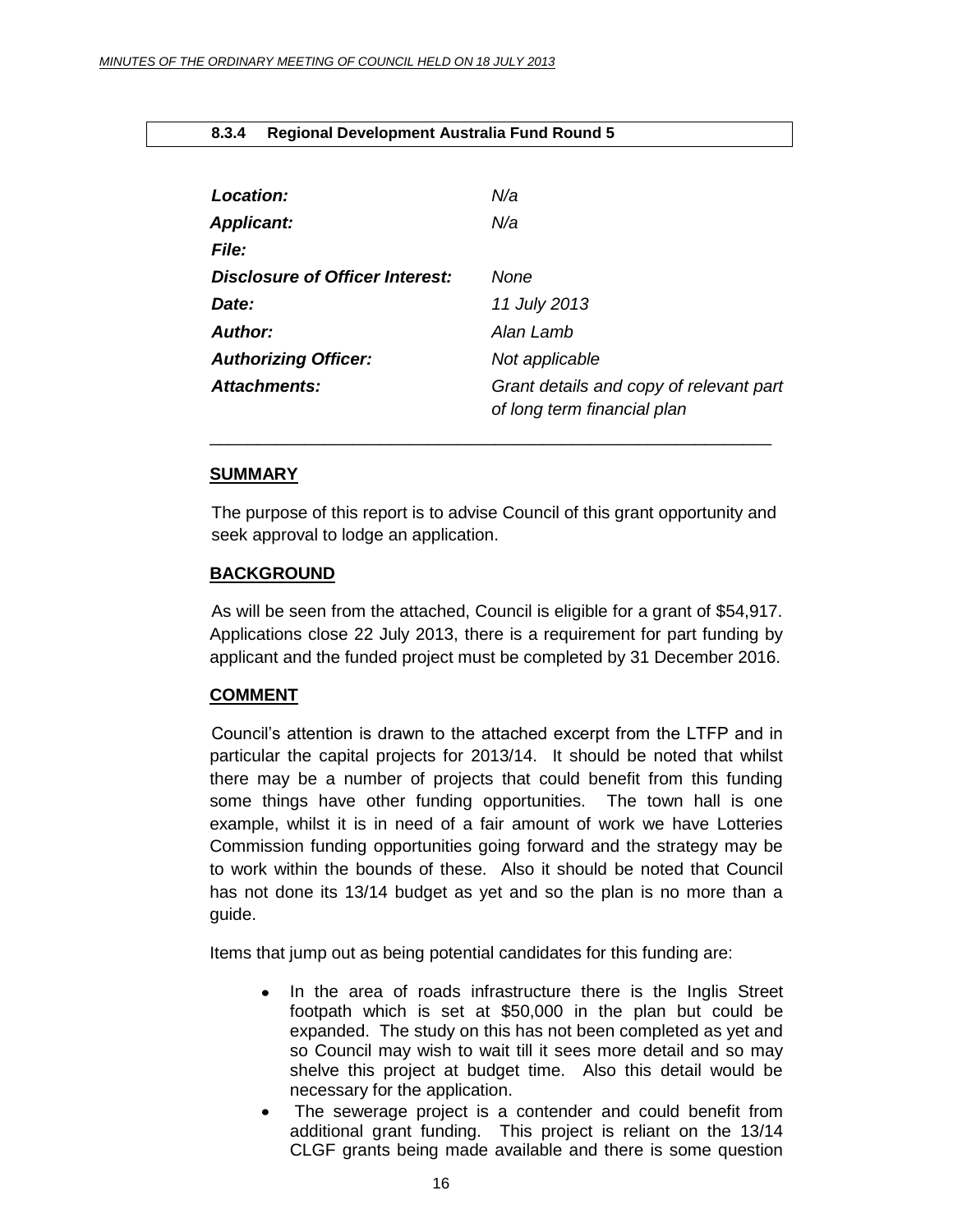#### <span id="page-15-0"></span>**8.3.4 Regional Development Australia Fund Round 5**

| Location:                       | N/a                                                                    |
|---------------------------------|------------------------------------------------------------------------|
| <b>Applicant:</b>               | N/a                                                                    |
| <b>File:</b>                    |                                                                        |
| Disclosure of Officer Interest: | None                                                                   |
| Date:                           | 11 July 2013                                                           |
| Author:                         | Alan Lamb                                                              |
| <b>Authorizing Officer:</b>     | Not applicable                                                         |
| <b>Attachments:</b>             | Grant details and copy of relevant part<br>of long term financial plan |

#### **SUMMARY**

The purpose of this report is to advise Council of this grant opportunity and seek approval to lodge an application.

\_\_\_\_\_\_\_\_\_\_\_\_\_\_\_\_\_\_\_\_\_\_\_\_\_\_\_\_\_\_\_\_\_\_\_\_\_\_\_\_\_\_\_\_\_\_\_\_\_\_\_\_\_\_\_\_\_\_\_

#### **BACKGROUND**

As will be seen from the attached, Council is eligible for a grant of \$54,917. Applications close 22 July 2013, there is a requirement for part funding by applicant and the funded project must be completed by 31 December 2016.

#### **COMMENT**

Council's attention is drawn to the attached excerpt from the LTFP and in particular the capital projects for 2013/14. It should be noted that whilst there may be a number of projects that could benefit from this funding some things have other funding opportunities. The town hall is one example, whilst it is in need of a fair amount of work we have Lotteries Commission funding opportunities going forward and the strategy may be to work within the bounds of these. Also it should be noted that Council has not done its 13/14 budget as yet and so the plan is no more than a guide.

Items that jump out as being potential candidates for this funding are:

- In the area of roads infrastructure there is the Inglis Street  $\bullet$ footpath which is set at \$50,000 in the plan but could be expanded. The study on this has not been completed as yet and so Council may wish to wait till it sees more detail and so may shelve this project at budget time. Also this detail would be necessary for the application.
- The sewerage project is a contender and could benefit from additional grant funding. This project is reliant on the 13/14 CLGF grants being made available and there is some question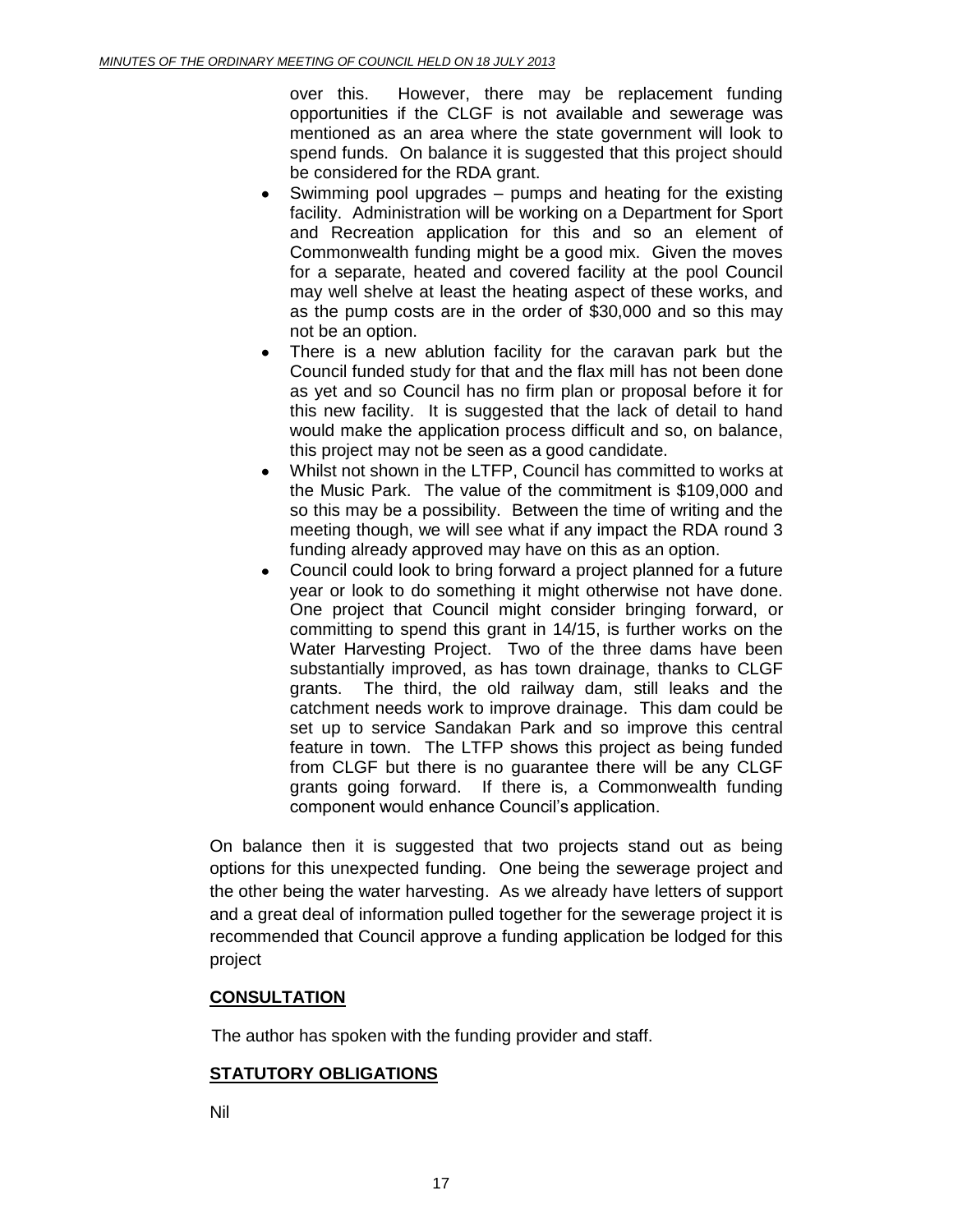over this. However, there may be replacement funding opportunities if the CLGF is not available and sewerage was mentioned as an area where the state government will look to spend funds. On balance it is suggested that this project should be considered for the RDA grant.

- Swimming pool upgrades pumps and heating for the existing facility. Administration will be working on a Department for Sport and Recreation application for this and so an element of Commonwealth funding might be a good mix. Given the moves for a separate, heated and covered facility at the pool Council may well shelve at least the heating aspect of these works, and as the pump costs are in the order of \$30,000 and so this may not be an option.
- There is a new ablution facility for the caravan park but the  $\bullet$ Council funded study for that and the flax mill has not been done as yet and so Council has no firm plan or proposal before it for this new facility. It is suggested that the lack of detail to hand would make the application process difficult and so, on balance, this project may not be seen as a good candidate.
- Whilst not shown in the LTFP, Council has committed to works at the Music Park. The value of the commitment is \$109,000 and so this may be a possibility. Between the time of writing and the meeting though, we will see what if any impact the RDA round 3 funding already approved may have on this as an option.
- Council could look to bring forward a project planned for a future year or look to do something it might otherwise not have done. One project that Council might consider bringing forward, or committing to spend this grant in 14/15, is further works on the Water Harvesting Project. Two of the three dams have been substantially improved, as has town drainage, thanks to CLGF grants. The third, the old railway dam, still leaks and the catchment needs work to improve drainage. This dam could be set up to service Sandakan Park and so improve this central feature in town. The LTFP shows this project as being funded from CLGF but there is no guarantee there will be any CLGF grants going forward. If there is, a Commonwealth funding component would enhance Council's application.

On balance then it is suggested that two projects stand out as being options for this unexpected funding. One being the sewerage project and the other being the water harvesting. As we already have letters of support and a great deal of information pulled together for the sewerage project it is recommended that Council approve a funding application be lodged for this project

# **CONSULTATION**

The author has spoken with the funding provider and staff.

# **STATUTORY OBLIGATIONS**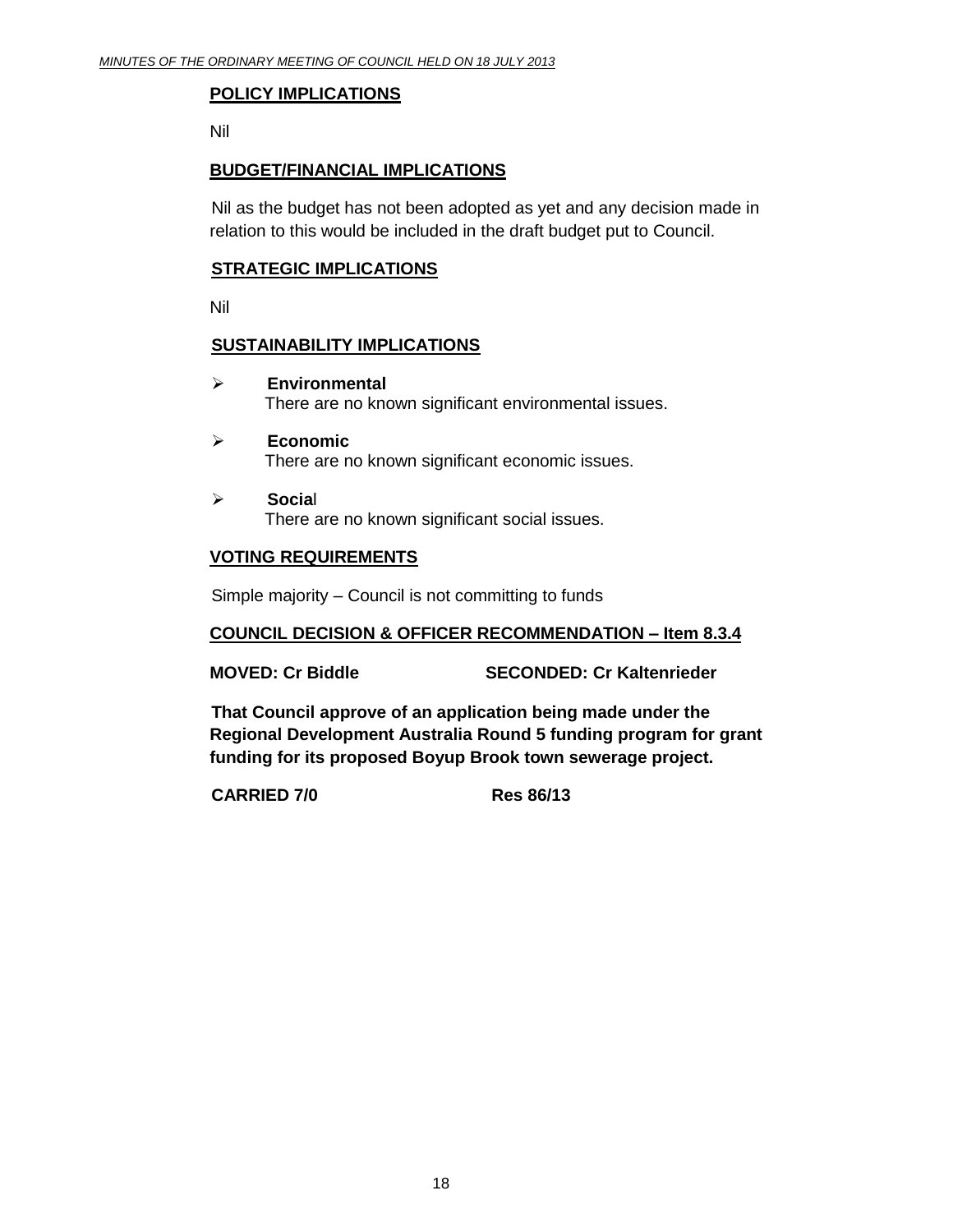# **POLICY IMPLICATIONS**

Nil

# **BUDGET/FINANCIAL IMPLICATIONS**

Nil as the budget has not been adopted as yet and any decision made in relation to this would be included in the draft budget put to Council.

## **STRATEGIC IMPLICATIONS**

Nil

## **SUSTAINABILITY IMPLICATIONS**

- **Environmental** There are no known significant environmental issues.
- **Economic** There are no known significant economic issues.
- **Socia**l There are no known significant social issues.

# **VOTING REQUIREMENTS**

Simple majority – Council is not committing to funds

# **COUNCIL DECISION & OFFICER RECOMMENDATION – Item 8.3.4**

**MOVED: Cr Biddle SECONDED: Cr Kaltenrieder**

**That Council approve of an application being made under the Regional Development Australia Round 5 funding program for grant funding for its proposed Boyup Brook town sewerage project.**

**CARRIED 7/0 Res 86/13**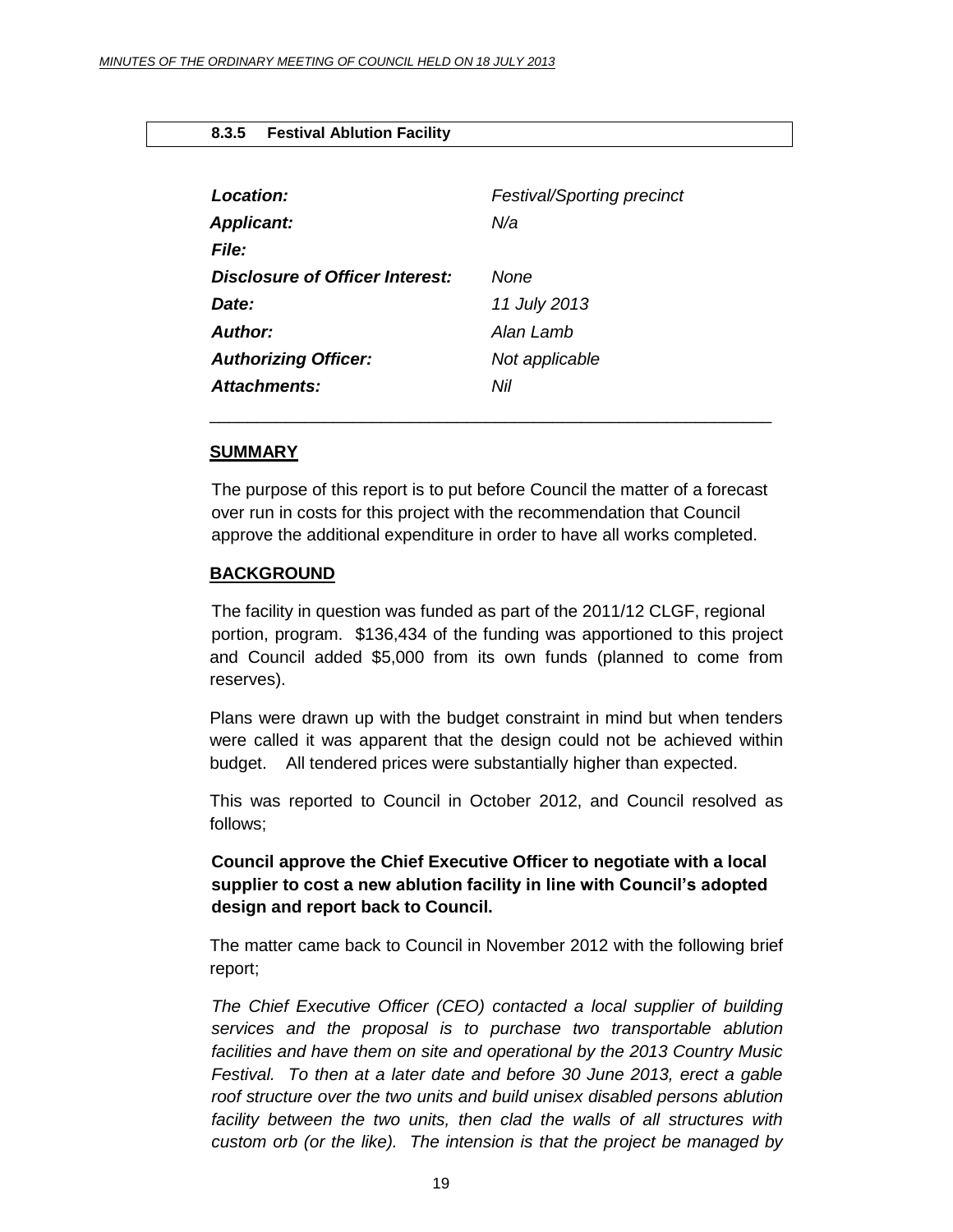#### <span id="page-18-0"></span>**8.3.5 Festival Ablution Facility**

| Location:                       | <b>Festival/Sporting precinct</b> |
|---------------------------------|-----------------------------------|
| <b>Applicant:</b>               | N/a                               |
| <b>File:</b>                    |                                   |
| Disclosure of Officer Interest: | None                              |
| Date:                           | 11 July 2013                      |
| Author:                         | Alan Lamb                         |
| <b>Authorizing Officer:</b>     | Not applicable                    |
| <b>Attachments:</b>             | Nil                               |

#### **SUMMARY**

The purpose of this report is to put before Council the matter of a forecast over run in costs for this project with the recommendation that Council approve the additional expenditure in order to have all works completed.

\_\_\_\_\_\_\_\_\_\_\_\_\_\_\_\_\_\_\_\_\_\_\_\_\_\_\_\_\_\_\_\_\_\_\_\_\_\_\_\_\_\_\_\_\_\_\_\_\_\_\_\_\_\_\_\_\_\_\_

#### **BACKGROUND**

The facility in question was funded as part of the 2011/12 CLGF, regional portion, program. \$136,434 of the funding was apportioned to this project and Council added \$5,000 from its own funds (planned to come from reserves).

Plans were drawn up with the budget constraint in mind but when tenders were called it was apparent that the design could not be achieved within budget. All tendered prices were substantially higher than expected.

This was reported to Council in October 2012, and Council resolved as follows;

# **Council approve the Chief Executive Officer to negotiate with a local supplier to cost a new ablution facility in line with Council's adopted design and report back to Council.**

The matter came back to Council in November 2012 with the following brief report;

*The Chief Executive Officer (CEO) contacted a local supplier of building services and the proposal is to purchase two transportable ablution facilities and have them on site and operational by the 2013 Country Music Festival. To then at a later date and before 30 June 2013, erect a gable roof structure over the two units and build unisex disabled persons ablution*  facility between the two units, then clad the walls of all structures with *custom orb (or the like). The intension is that the project be managed by*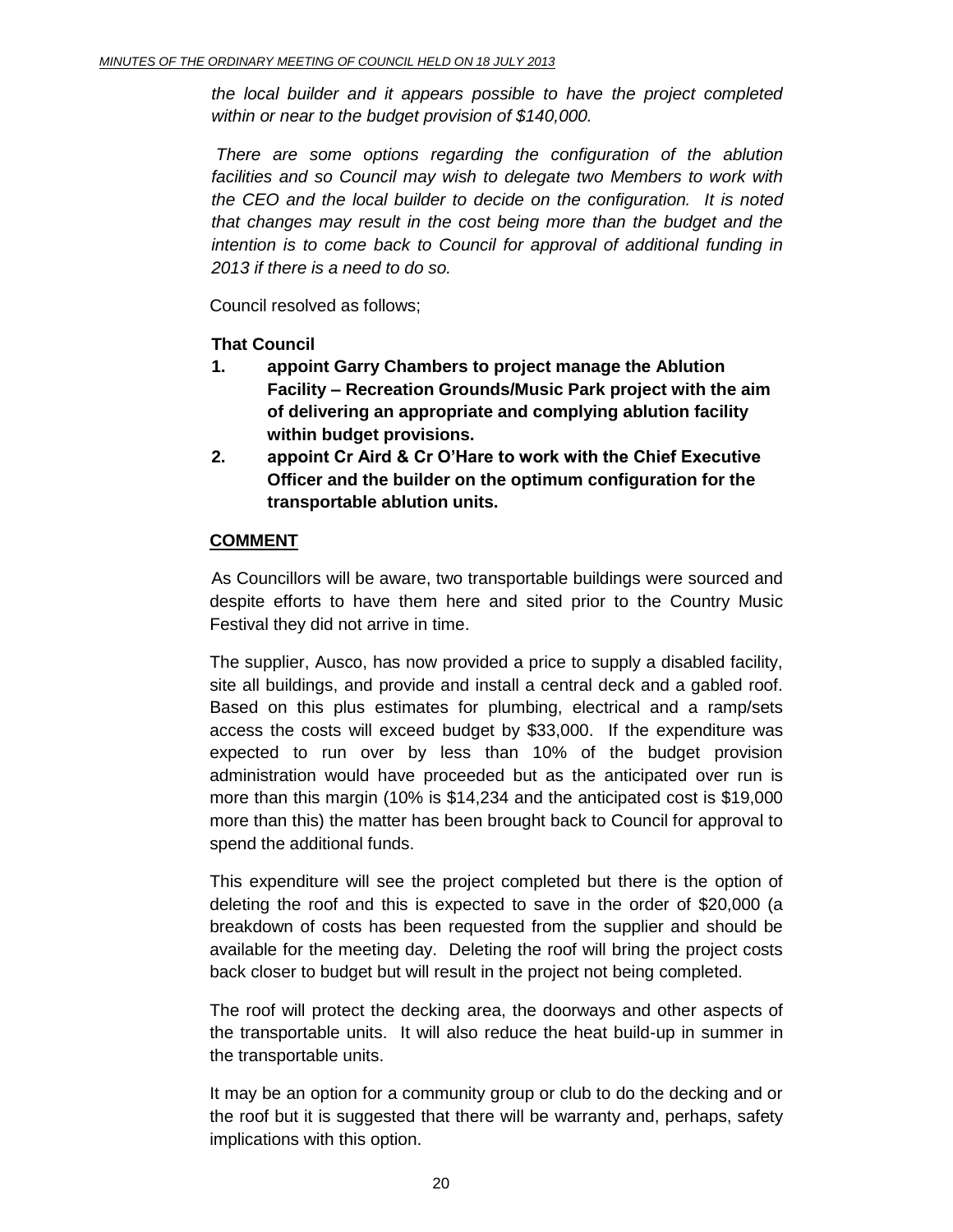*the local builder and it appears possible to have the project completed within or near to the budget provision of \$140,000.* 

*There are some options regarding the configuration of the ablution*  facilities and so Council may wish to delegate two Members to work with *the CEO and the local builder to decide on the configuration. It is noted that changes may result in the cost being more than the budget and the intention is to come back to Council for approval of additional funding in 2013 if there is a need to do so.*

Council resolved as follows;

# **That Council**

- **1. appoint Garry Chambers to project manage the Ablution Facility – Recreation Grounds/Music Park project with the aim of delivering an appropriate and complying ablution facility within budget provisions.**
- **2. appoint Cr Aird & Cr O'Hare to work with the Chief Executive Officer and the builder on the optimum configuration for the transportable ablution units.**

# **COMMENT**

As Councillors will be aware, two transportable buildings were sourced and despite efforts to have them here and sited prior to the Country Music Festival they did not arrive in time.

The supplier, Ausco, has now provided a price to supply a disabled facility, site all buildings, and provide and install a central deck and a gabled roof. Based on this plus estimates for plumbing, electrical and a ramp/sets access the costs will exceed budget by \$33,000. If the expenditure was expected to run over by less than 10% of the budget provision administration would have proceeded but as the anticipated over run is more than this margin (10% is \$14,234 and the anticipated cost is \$19,000 more than this) the matter has been brought back to Council for approval to spend the additional funds.

This expenditure will see the project completed but there is the option of deleting the roof and this is expected to save in the order of \$20,000 (a breakdown of costs has been requested from the supplier and should be available for the meeting day. Deleting the roof will bring the project costs back closer to budget but will result in the project not being completed.

The roof will protect the decking area, the doorways and other aspects of the transportable units. It will also reduce the heat build-up in summer in the transportable units.

It may be an option for a community group or club to do the decking and or the roof but it is suggested that there will be warranty and, perhaps, safety implications with this option.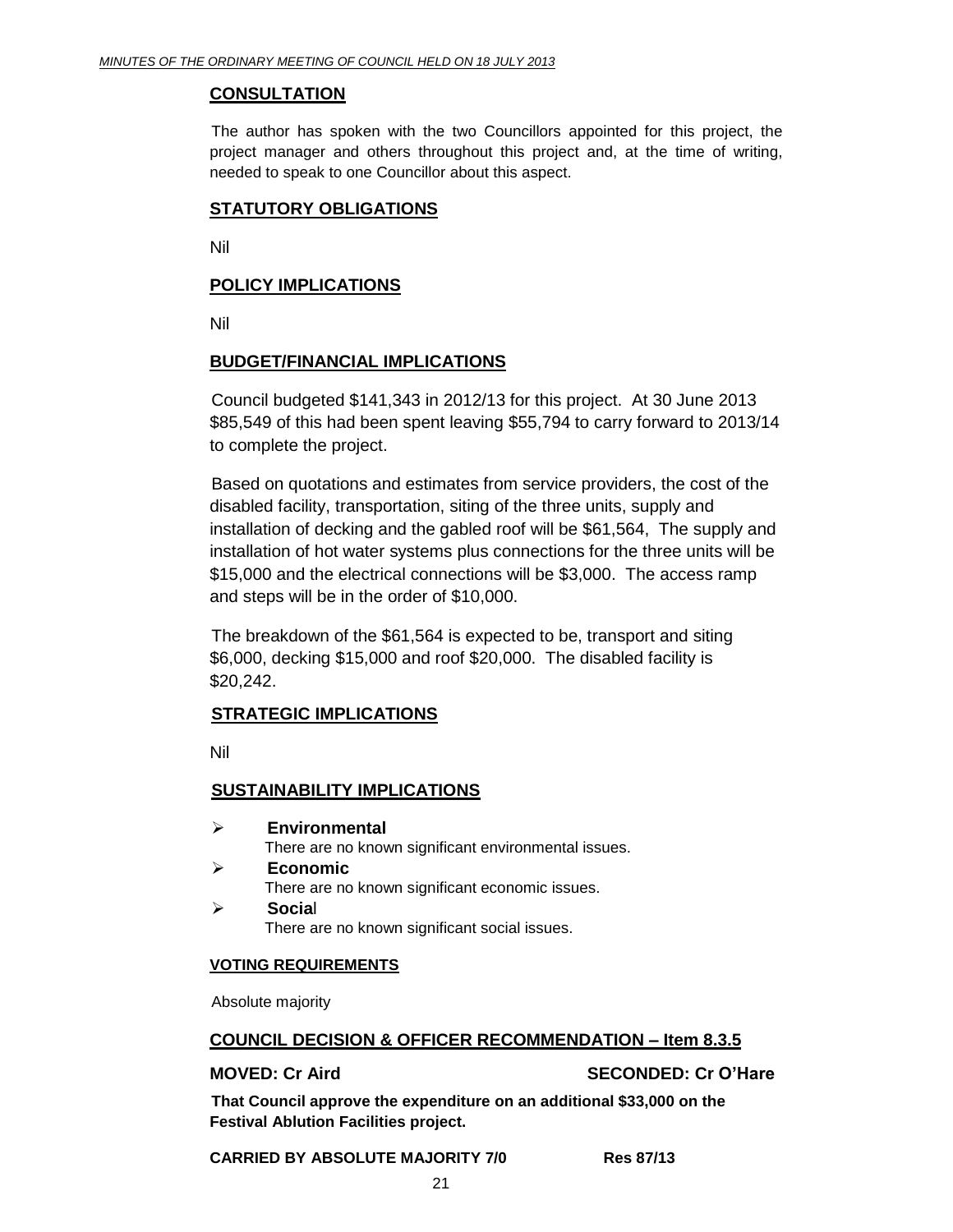## **CONSULTATION**

The author has spoken with the two Councillors appointed for this project, the project manager and others throughout this project and, at the time of writing, needed to speak to one Councillor about this aspect.

## **STATUTORY OBLIGATIONS**

Nil

## **POLICY IMPLICATIONS**

Nil

## **BUDGET/FINANCIAL IMPLICATIONS**

Council budgeted \$141,343 in 2012/13 for this project. At 30 June 2013 \$85,549 of this had been spent leaving \$55,794 to carry forward to 2013/14 to complete the project.

Based on quotations and estimates from service providers, the cost of the disabled facility, transportation, siting of the three units, supply and installation of decking and the gabled roof will be \$61,564, The supply and installation of hot water systems plus connections for the three units will be \$15,000 and the electrical connections will be \$3,000. The access ramp and steps will be in the order of \$10,000.

The breakdown of the \$61,564 is expected to be, transport and siting \$6,000, decking \$15,000 and roof \$20,000. The disabled facility is \$20,242.

# **STRATEGIC IMPLICATIONS**

Nil

# **SUSTAINABILITY IMPLICATIONS**

- **Environmental** There are no known significant environmental issues.
- **Economic** There are no known significant economic issues.
- **Socia**l

There are no known significant social issues.

#### **VOTING REQUIREMENTS**

Absolute majority

#### **COUNCIL DECISION & OFFICER RECOMMENDATION – Item 8.3.5**

# **MOVED: Cr Aird SECONDED: Cr O'Hare**

**That Council approve the expenditure on an additional \$33,000 on the Festival Ablution Facilities project.** 

#### **CARRIED BY ABSOLUTE MAJORITY 7/0 Res 87/13**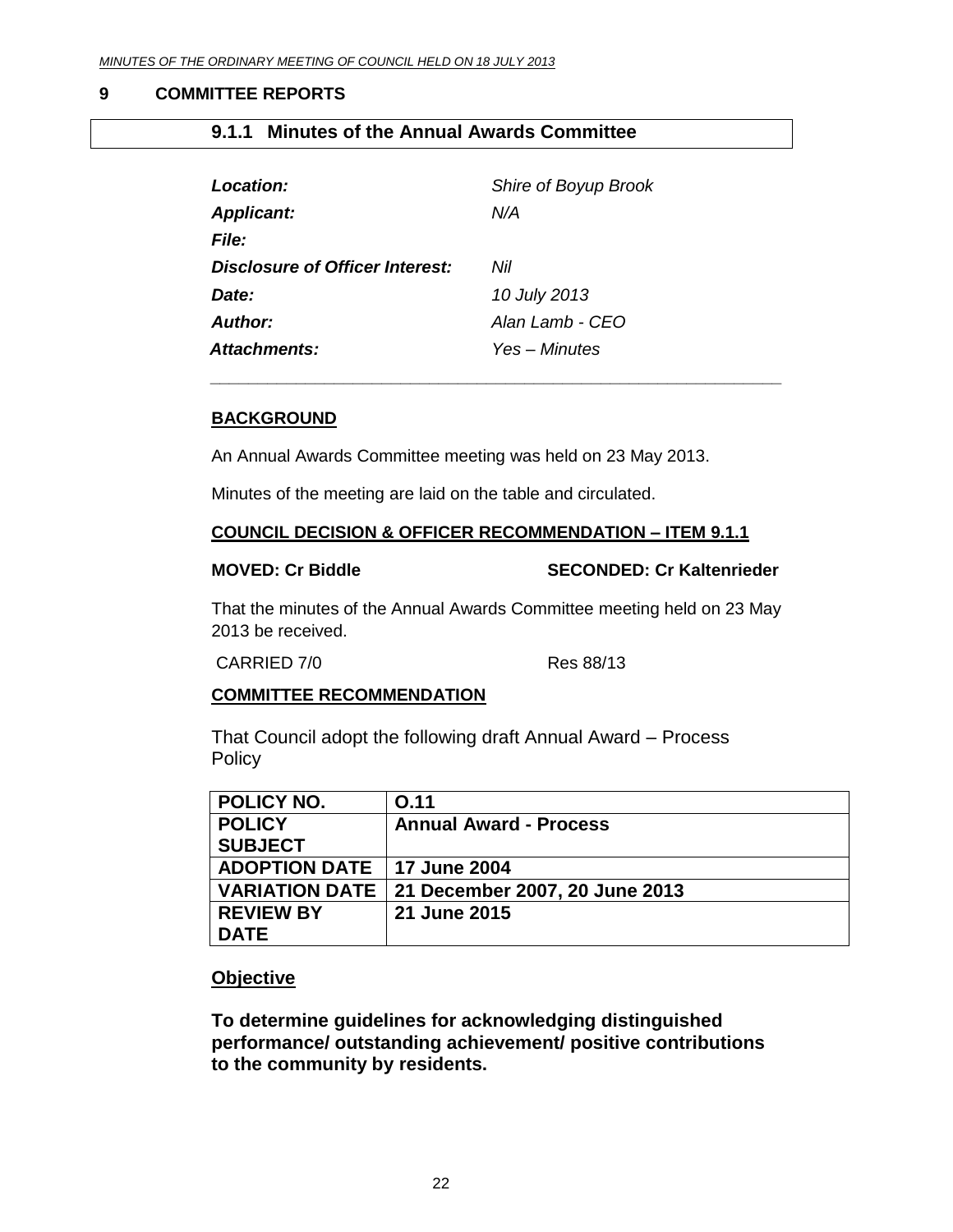## <span id="page-21-0"></span>**9 COMMITTEE REPORTS**

# <span id="page-21-1"></span>**9.1.1 Minutes of the Annual Awards Committee**

| Location:                       | Shire of Boyup Brook |
|---------------------------------|----------------------|
| <b>Applicant:</b>               | N/A                  |
| <b>File:</b>                    |                      |
| Disclosure of Officer Interest: | Nil                  |
| Date:                           | 10 July 2013         |
| Author:                         | Alan Lamb - CEO      |
| <b>Attachments:</b>             | Yes – Minutes        |

## **BACKGROUND**

An Annual Awards Committee meeting was held on 23 May 2013.

Minutes of the meeting are laid on the table and circulated.

#### **COUNCIL DECISION & OFFICER RECOMMENDATION – ITEM 9.1.1**

*\_\_\_\_\_\_\_\_\_\_\_\_\_\_\_\_\_\_\_\_\_\_\_\_\_\_\_\_\_\_\_\_\_\_\_\_\_\_\_\_\_\_\_\_\_\_\_\_\_\_\_\_\_\_\_\_\_\_\_\_*

#### **MOVED: Cr Biddle SECONDED: Cr Kaltenrieder**

That the minutes of the Annual Awards Committee meeting held on 23 May 2013 be received.

CARRIED 7/0 Res 88/13

#### **COMMITTEE RECOMMENDATION**

That Council adopt the following draft Annual Award – Process **Policy** 

| POLICY NO.                   | <b>O.11</b>                                     |
|------------------------------|-------------------------------------------------|
| <b>POLICY</b>                | <b>Annual Award - Process</b>                   |
| <b>SUBJECT</b>               |                                                 |
| ADOPTION DATE   17 June 2004 |                                                 |
|                              | VARIATION DATE   21 December 2007, 20 June 2013 |
| <b>REVIEW BY</b>             | 21 June 2015                                    |
| <b>DATE</b>                  |                                                 |

# **Objective**

**To determine guidelines for acknowledging distinguished performance/ outstanding achievement/ positive contributions to the community by residents.**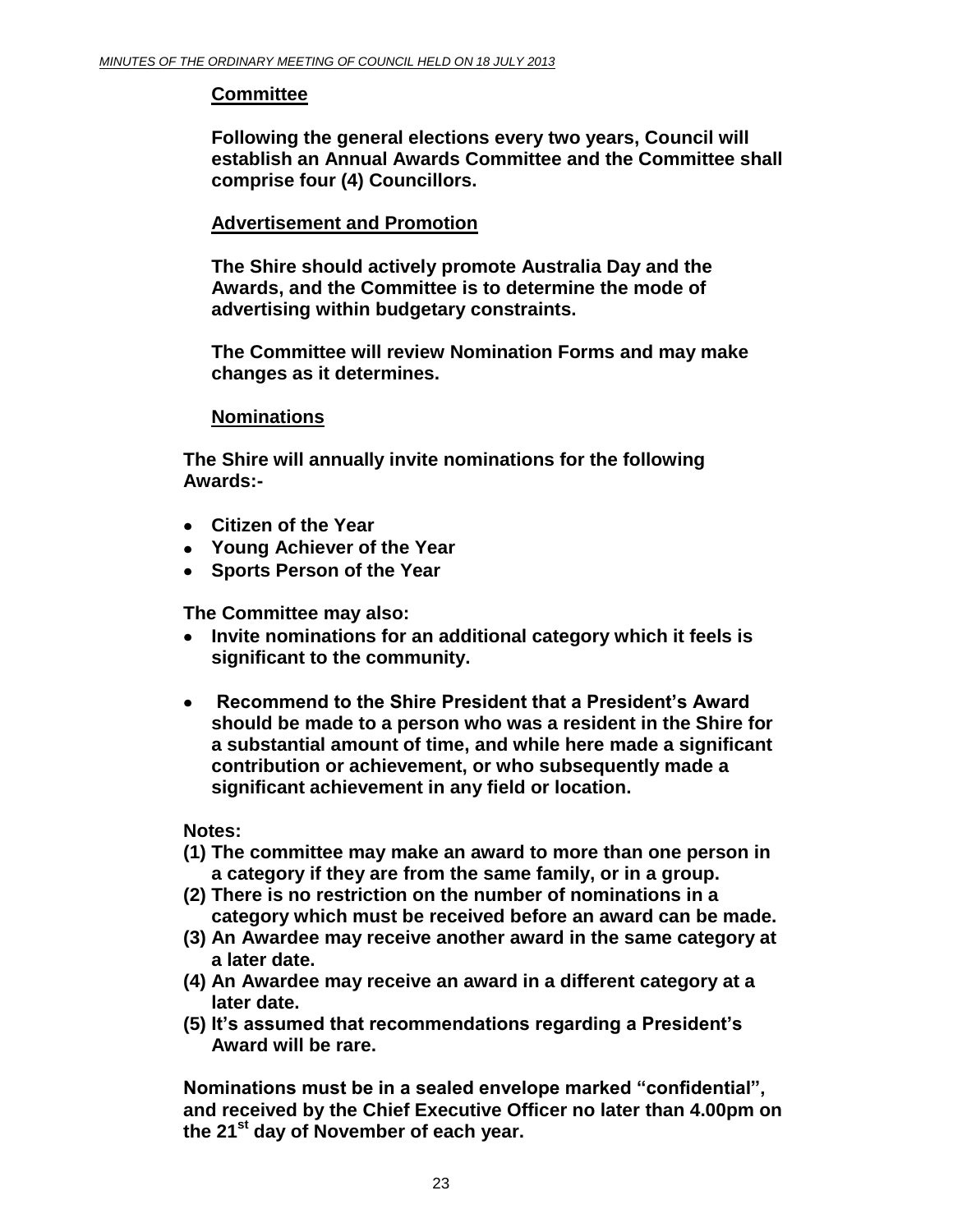# **Committee**

**Following the general elections every two years, Council will establish an Annual Awards Committee and the Committee shall comprise four (4) Councillors.**

# **Advertisement and Promotion**

**The Shire should actively promote Australia Day and the Awards, and the Committee is to determine the mode of advertising within budgetary constraints.**

**The Committee will review Nomination Forms and may make changes as it determines.**

# **Nominations**

**The Shire will annually invite nominations for the following Awards:-** 

- **Citizen of the Year**
- **Young Achiever of the Year**
- **Sports Person of the Year**

**The Committee may also:**

- $\bullet$ **Invite nominations for an additional category which it feels is significant to the community.**
- **Recommend to the Shire President that a President's Award**   $\bullet$ **should be made to a person who was a resident in the Shire for a substantial amount of time, and while here made a significant contribution or achievement, or who subsequently made a significant achievement in any field or location.**

**Notes:** 

- **(1) The committee may make an award to more than one person in a category if they are from the same family, or in a group.**
- **(2) There is no restriction on the number of nominations in a category which must be received before an award can be made.**
- **(3) An Awardee may receive another award in the same category at a later date.**
- **(4) An Awardee may receive an award in a different category at a later date.**
- **(5) It's assumed that recommendations regarding a President's Award will be rare.**

**Nominations must be in a sealed envelope marked "confidential", and received by the Chief Executive Officer no later than 4.00pm on the 21st day of November of each year.**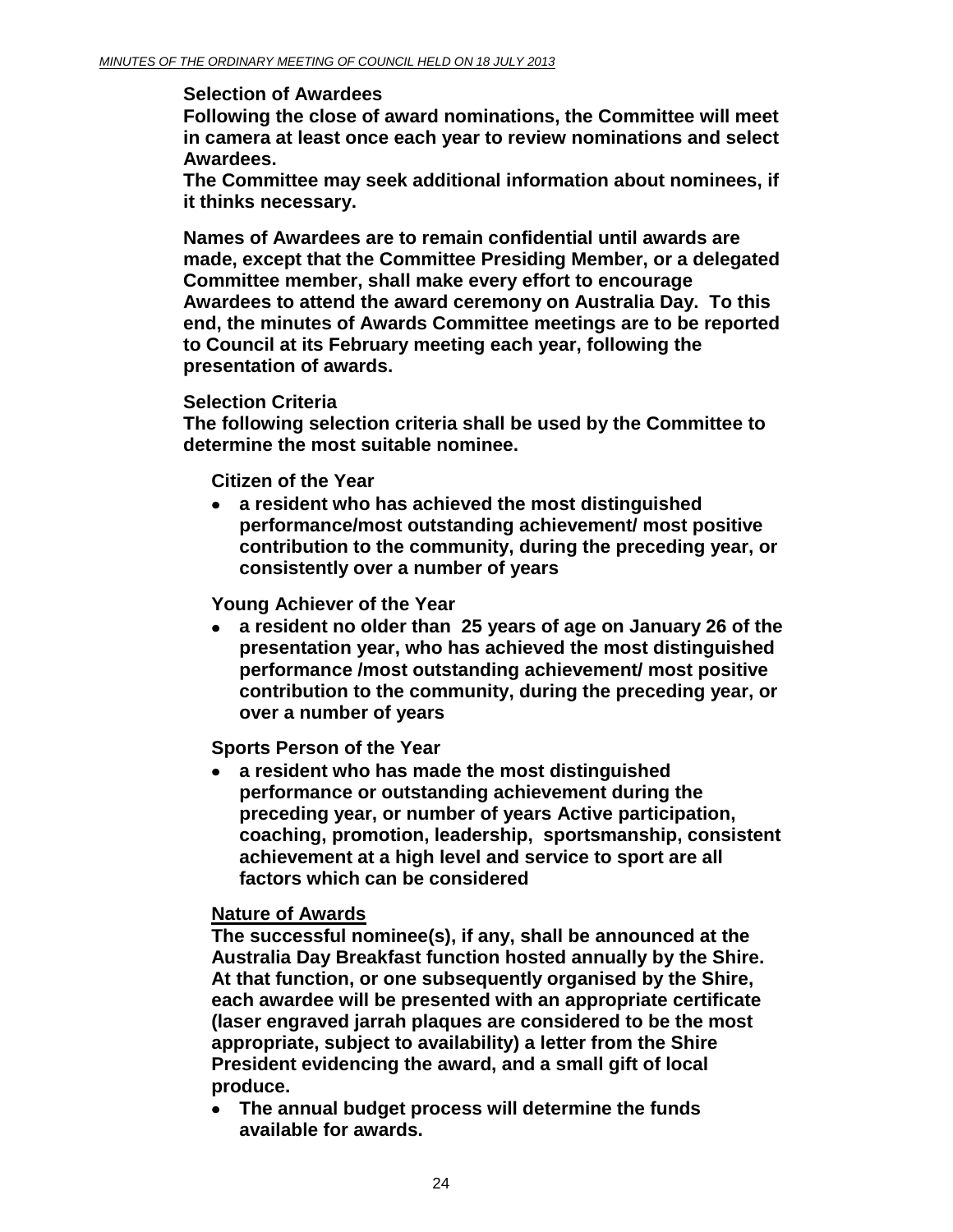#### **Selection of Awardees**

**Following the close of award nominations, the Committee will meet in camera at least once each year to review nominations and select Awardees.** 

**The Committee may seek additional information about nominees, if it thinks necessary.**

**Names of Awardees are to remain confidential until awards are made, except that the Committee Presiding Member, or a delegated Committee member, shall make every effort to encourage Awardees to attend the award ceremony on Australia Day. To this end, the minutes of Awards Committee meetings are to be reported to Council at its February meeting each year, following the presentation of awards.**

# **Selection Criteria**

**The following selection criteria shall be used by the Committee to determine the most suitable nominee.**

**Citizen of the Year** 

 $\bullet$ **a resident who has achieved the most distinguished performance/most outstanding achievement/ most positive contribution to the community, during the preceding year, or consistently over a number of years** 

**Young Achiever of the Year** 

**a resident no older than 25 years of age on January 26 of the presentation year, who has achieved the most distinguished performance /most outstanding achievement/ most positive contribution to the community, during the preceding year, or over a number of years** 

**Sports Person of the Year**

**a resident who has made the most distinguished performance or outstanding achievement during the preceding year, or number of years Active participation, coaching, promotion, leadership, sportsmanship, consistent achievement at a high level and service to sport are all factors which can be considered**

# **Nature of Awards**

**The successful nominee(s), if any, shall be announced at the Australia Day Breakfast function hosted annually by the Shire. At that function, or one subsequently organised by the Shire, each awardee will be presented with an appropriate certificate (laser engraved jarrah plaques are considered to be the most appropriate, subject to availability) a letter from the Shire President evidencing the award, and a small gift of local produce.**

**The annual budget process will determine the funds available for awards.**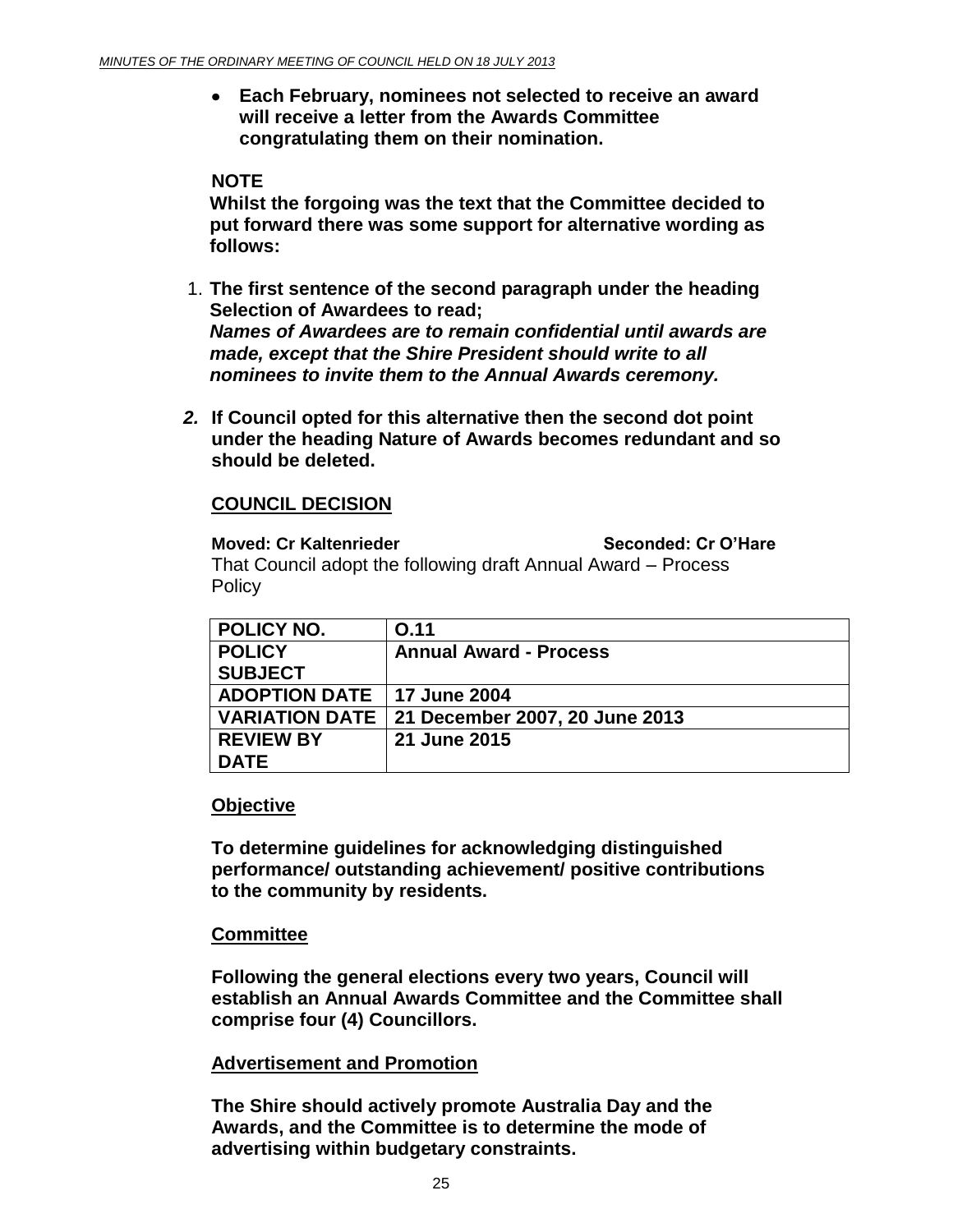**Each February, nominees not selected to receive an award will receive a letter from the Awards Committee congratulating them on their nomination.**

# **NOTE**

**Whilst the forgoing was the text that the Committee decided to put forward there was some support for alternative wording as follows:**

- 1. **The first sentence of the second paragraph under the heading Selection of Awardees to read;** *Names of Awardees are to remain confidential until awards are made, except that the Shire President should write to all nominees to invite them to the Annual Awards ceremony.*
- *2.* **If Council opted for this alternative then the second dot point under the heading Nature of Awards becomes redundant and so should be deleted.**

# **COUNCIL DECISION**

**Moved: Cr Kaltenrieder Seconded: Cr O'Hare** That Council adopt the following draft Annual Award – Process **Policy** 

| POLICY NO.                   | O.11                                            |
|------------------------------|-------------------------------------------------|
| <b>POLICY</b>                | <b>Annual Award - Process</b>                   |
| <b>SUBJECT</b>               |                                                 |
| ADOPTION DATE   17 June 2004 |                                                 |
|                              | VARIATION DATE   21 December 2007, 20 June 2013 |
| <b>REVIEW BY</b>             | 21 June 2015                                    |
| <b>DATE</b>                  |                                                 |

# **Objective**

**To determine guidelines for acknowledging distinguished performance/ outstanding achievement/ positive contributions to the community by residents.**

# **Committee**

**Following the general elections every two years, Council will establish an Annual Awards Committee and the Committee shall comprise four (4) Councillors.**

# **Advertisement and Promotion**

**The Shire should actively promote Australia Day and the Awards, and the Committee is to determine the mode of advertising within budgetary constraints.**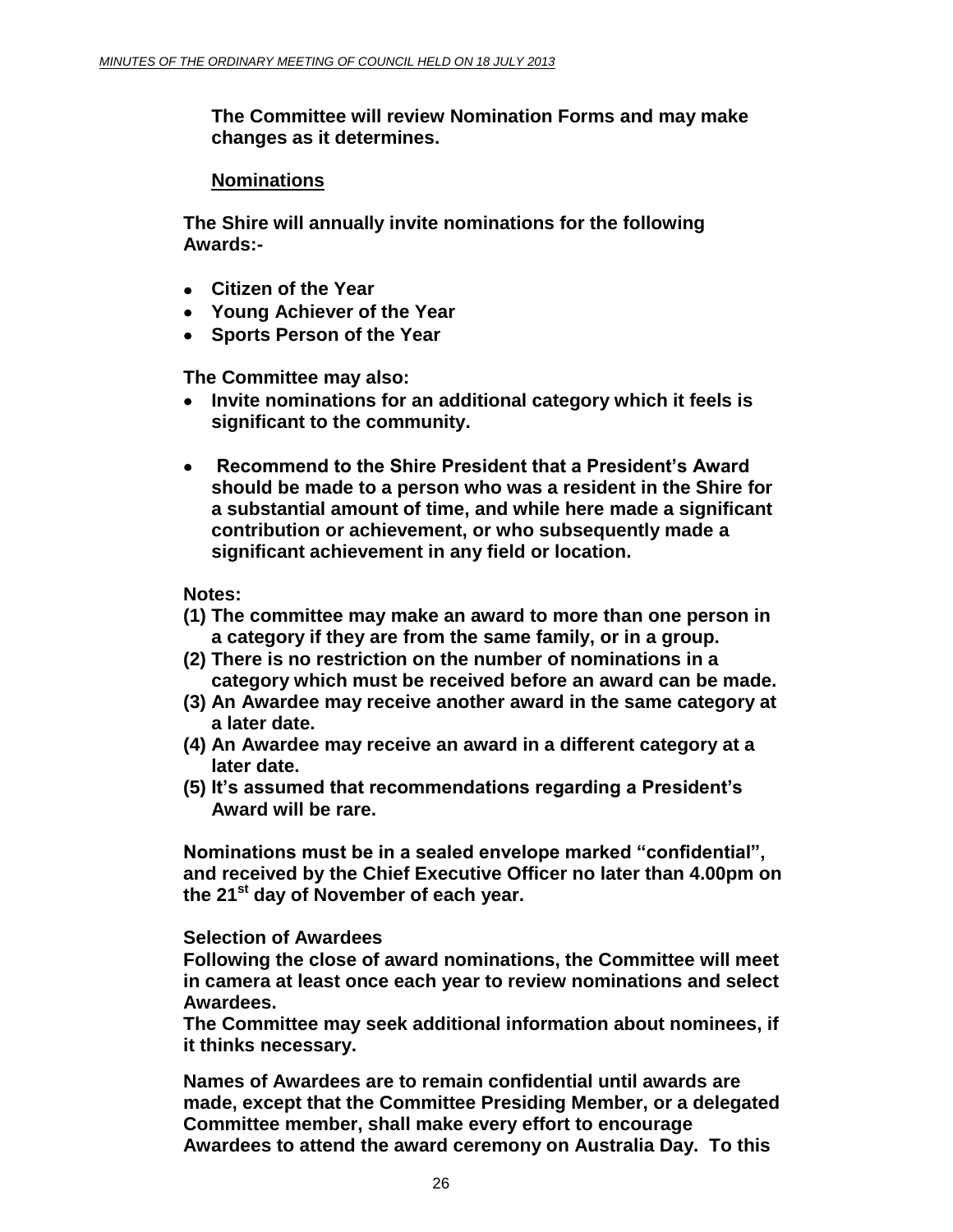**The Committee will review Nomination Forms and may make changes as it determines.**

# **Nominations**

**The Shire will annually invite nominations for the following Awards:-** 

- **Citizen of the Year**
- **Young Achiever of the Year**
- **Sports Person of the Year**

**The Committee may also:**

- $\bullet$ **Invite nominations for an additional category which it feels is significant to the community.**
- **Recommend to the Shire President that a President's Award**   $\bullet$ **should be made to a person who was a resident in the Shire for a substantial amount of time, and while here made a significant contribution or achievement, or who subsequently made a significant achievement in any field or location.**

**Notes:** 

- **(1) The committee may make an award to more than one person in a category if they are from the same family, or in a group.**
- **(2) There is no restriction on the number of nominations in a category which must be received before an award can be made.**
- **(3) An Awardee may receive another award in the same category at a later date.**
- **(4) An Awardee may receive an award in a different category at a later date.**
- **(5) It's assumed that recommendations regarding a President's Award will be rare.**

**Nominations must be in a sealed envelope marked "confidential", and received by the Chief Executive Officer no later than 4.00pm on the 21st day of November of each year.**

**Selection of Awardees**

**Following the close of award nominations, the Committee will meet in camera at least once each year to review nominations and select Awardees.** 

**The Committee may seek additional information about nominees, if it thinks necessary.**

**Names of Awardees are to remain confidential until awards are made, except that the Committee Presiding Member, or a delegated Committee member, shall make every effort to encourage** 

**Awardees to attend the award ceremony on Australia Day. To this**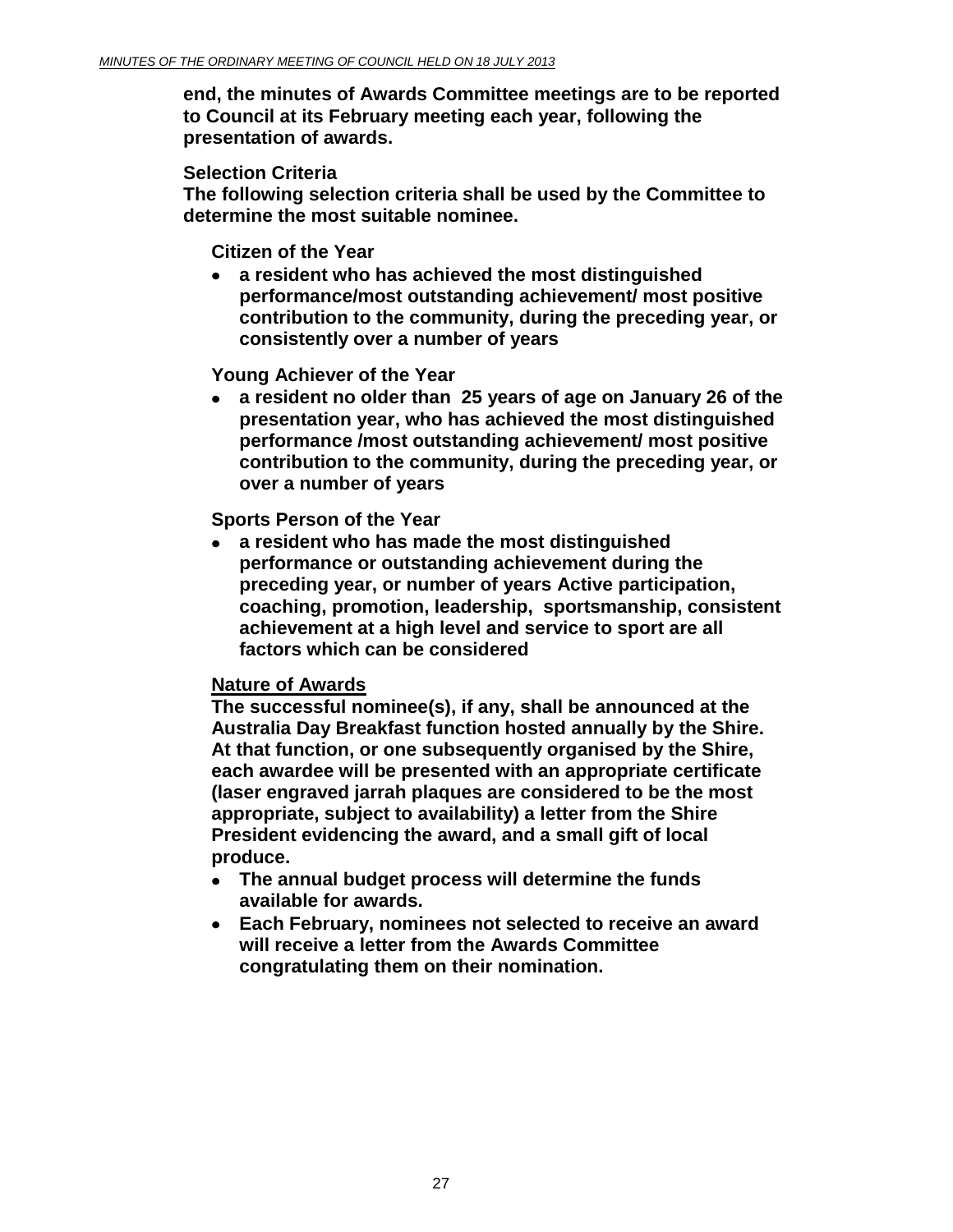**end, the minutes of Awards Committee meetings are to be reported to Council at its February meeting each year, following the presentation of awards.**

# **Selection Criteria**

**The following selection criteria shall be used by the Committee to determine the most suitable nominee.**

**Citizen of the Year** 

**a resident who has achieved the most distinguished**   $\bullet$ **performance/most outstanding achievement/ most positive contribution to the community, during the preceding year, or consistently over a number of years** 

# **Young Achiever of the Year**

**a resident no older than 25 years of age on January 26 of the presentation year, who has achieved the most distinguished performance /most outstanding achievement/ most positive contribution to the community, during the preceding year, or over a number of years** 

**Sports Person of the Year**

**a resident who has made the most distinguished performance or outstanding achievement during the preceding year, or number of years Active participation, coaching, promotion, leadership, sportsmanship, consistent achievement at a high level and service to sport are all factors which can be considered**

# **Nature of Awards**

**The successful nominee(s), if any, shall be announced at the Australia Day Breakfast function hosted annually by the Shire. At that function, or one subsequently organised by the Shire, each awardee will be presented with an appropriate certificate (laser engraved jarrah plaques are considered to be the most appropriate, subject to availability) a letter from the Shire President evidencing the award, and a small gift of local produce.**

- **The annual budget process will determine the funds available for awards.**
- **Each February, nominees not selected to receive an award will receive a letter from the Awards Committee congratulating them on their nomination.**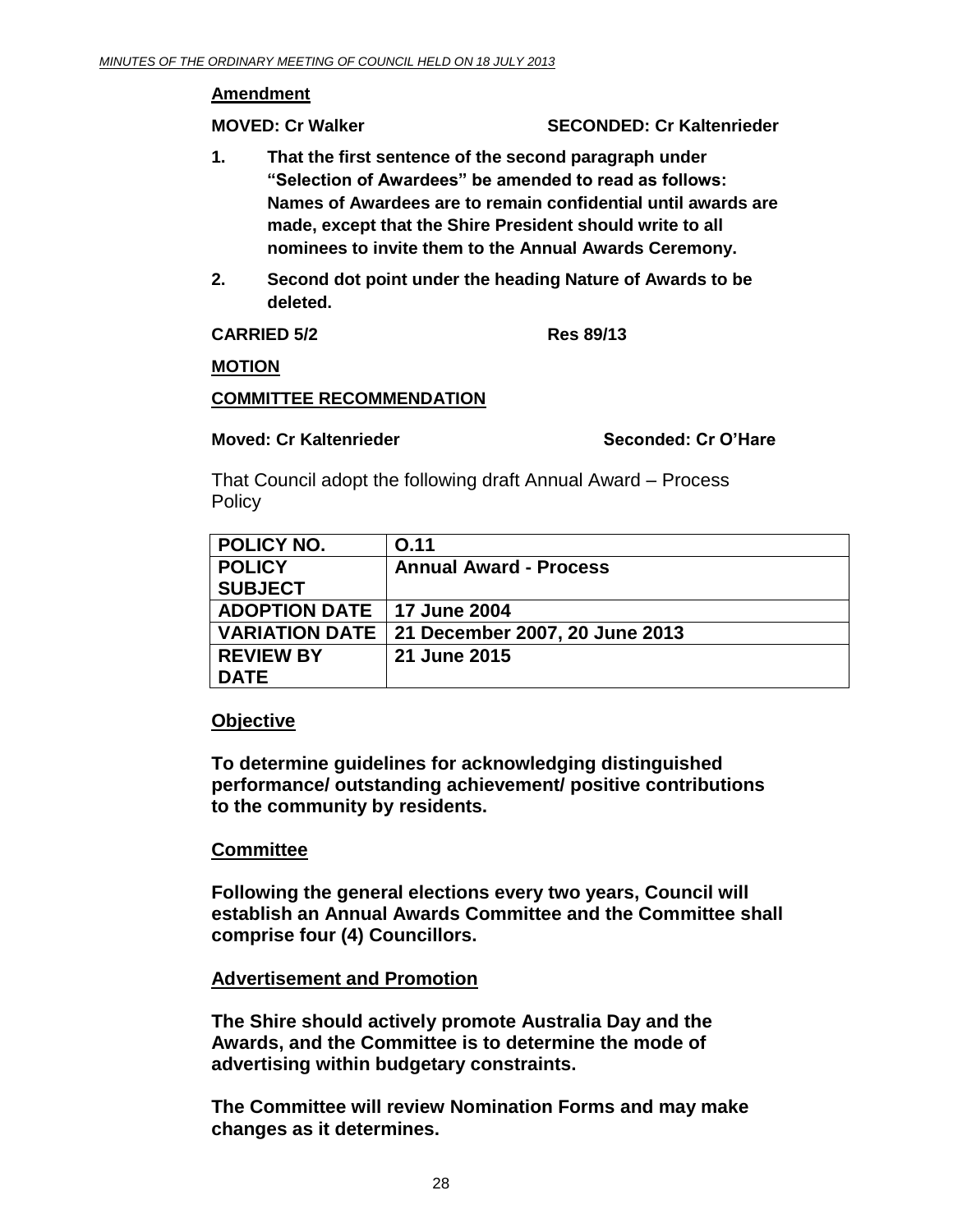## **Amendment**

**MOVED: Cr Walker SECONDED: Cr Kaltenrieder**

- **1. That the first sentence of the second paragraph under "Selection of Awardees" be amended to read as follows: Names of Awardees are to remain confidential until awards are made, except that the Shire President should write to all nominees to invite them to the Annual Awards Ceremony.**
- **2. Second dot point under the heading Nature of Awards to be deleted.**

**CARRIED 5/2 Res 89/13**

## **MOTION**

# **COMMITTEE RECOMMENDATION**

## **Moved: Cr Kaltenrieder Seconded: Cr O'Hare**

That Council adopt the following draft Annual Award – Process **Policy** 

| <b>POLICY NO.</b>            | O.11                                            |
|------------------------------|-------------------------------------------------|
| <b>POLICY</b>                | <b>Annual Award - Process</b>                   |
| <b>SUBJECT</b>               |                                                 |
| ADOPTION DATE   17 June 2004 |                                                 |
|                              | VARIATION DATE   21 December 2007, 20 June 2013 |
| <b>REVIEW BY</b>             | 21 June 2015                                    |
| <b>DATE</b>                  |                                                 |

# **Objective**

**To determine guidelines for acknowledging distinguished performance/ outstanding achievement/ positive contributions to the community by residents.**

# **Committee**

**Following the general elections every two years, Council will establish an Annual Awards Committee and the Committee shall comprise four (4) Councillors.**

# **Advertisement and Promotion**

**The Shire should actively promote Australia Day and the Awards, and the Committee is to determine the mode of advertising within budgetary constraints.**

**The Committee will review Nomination Forms and may make changes as it determines.**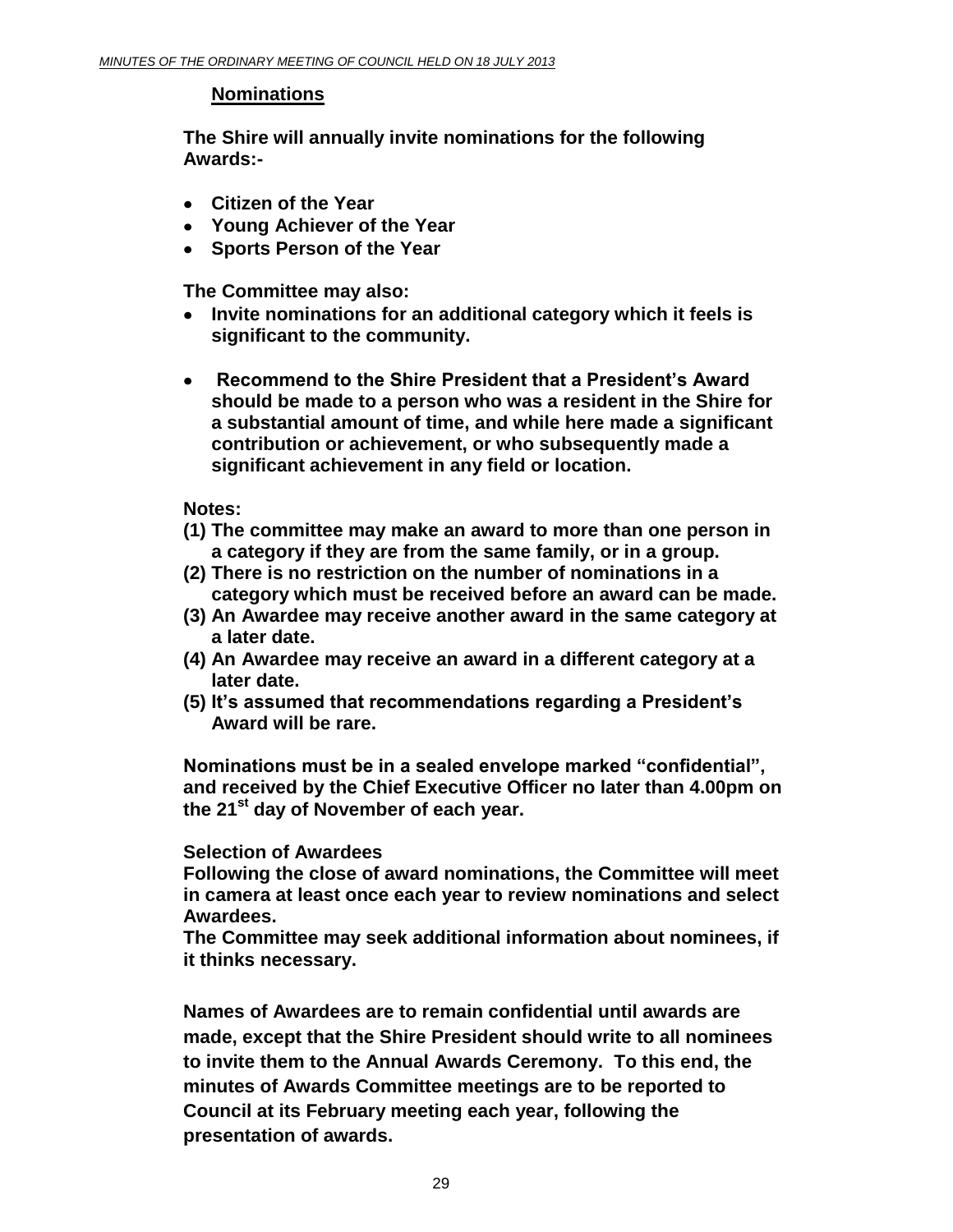# **Nominations**

**The Shire will annually invite nominations for the following Awards:-** 

- **Citizen of the Year**
- **Young Achiever of the Year**
- **Sports Person of the Year**

**The Committee may also:**

- **Invite nominations for an additional category which it feels is**   $\bullet$ **significant to the community.**
- **Recommend to the Shire President that a President's Award**   $\bullet$ **should be made to a person who was a resident in the Shire for a substantial amount of time, and while here made a significant contribution or achievement, or who subsequently made a significant achievement in any field or location.**

**Notes:** 

- **(1) The committee may make an award to more than one person in a category if they are from the same family, or in a group.**
- **(2) There is no restriction on the number of nominations in a category which must be received before an award can be made.**
- **(3) An Awardee may receive another award in the same category at a later date.**
- **(4) An Awardee may receive an award in a different category at a later date.**
- **(5) It's assumed that recommendations regarding a President's Award will be rare.**

**Nominations must be in a sealed envelope marked "confidential", and received by the Chief Executive Officer no later than 4.00pm on the 21st day of November of each year.**

# **Selection of Awardees**

**Following the close of award nominations, the Committee will meet in camera at least once each year to review nominations and select Awardees.** 

**The Committee may seek additional information about nominees, if it thinks necessary.**

**Names of Awardees are to remain confidential until awards are made, except that the Shire President should write to all nominees to invite them to the Annual Awards Ceremony. To this end, the minutes of Awards Committee meetings are to be reported to Council at its February meeting each year, following the presentation of awards.**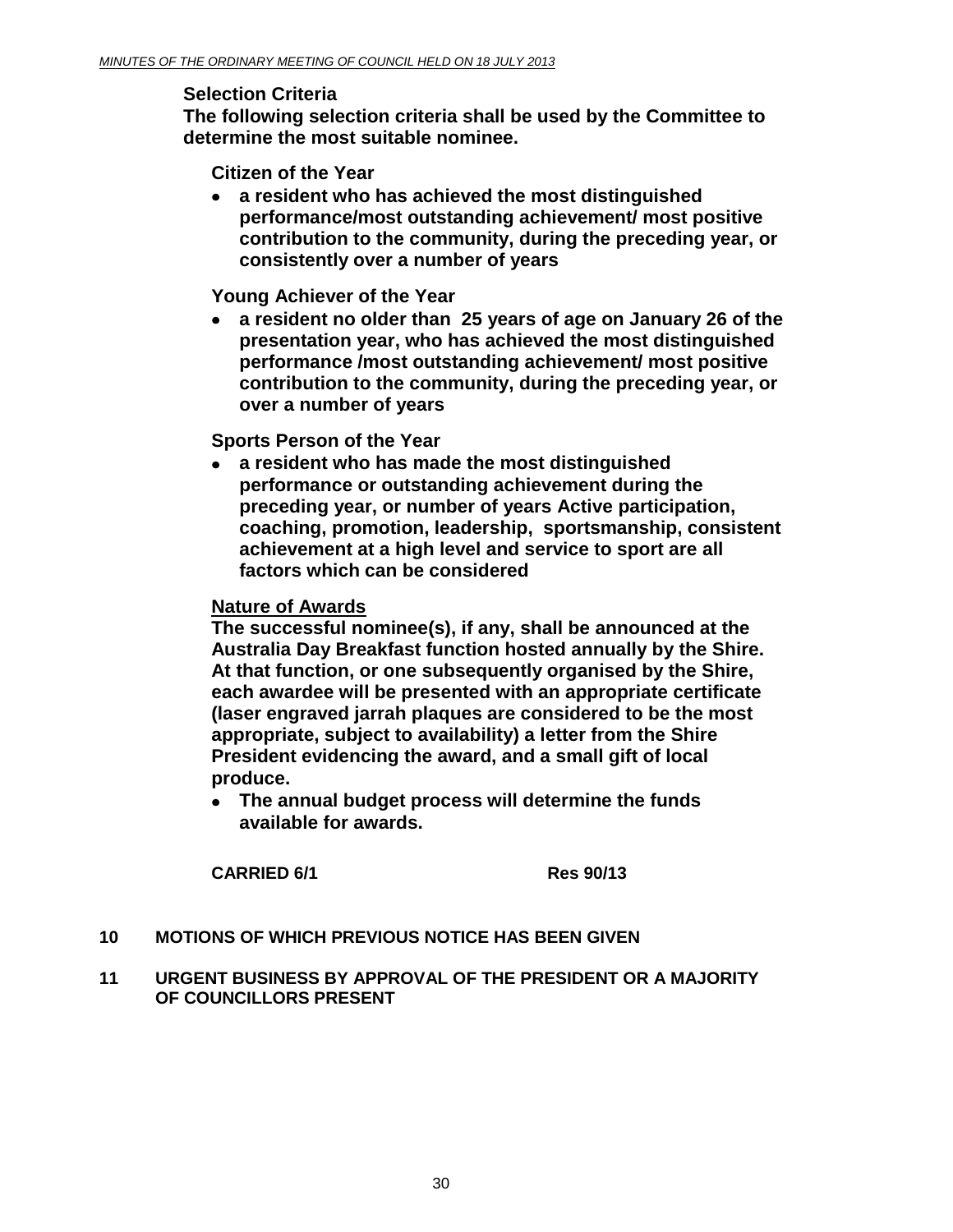# **Selection Criteria**

**The following selection criteria shall be used by the Committee to determine the most suitable nominee.**

**Citizen of the Year** 

**a resident who has achieved the most distinguished performance/most outstanding achievement/ most positive contribution to the community, during the preceding year, or consistently over a number of years** 

**Young Achiever of the Year** 

**a resident no older than 25 years of age on January 26 of the**   $\bullet$ **presentation year, who has achieved the most distinguished performance /most outstanding achievement/ most positive contribution to the community, during the preceding year, or over a number of years** 

**Sports Person of the Year**

**a resident who has made the most distinguished performance or outstanding achievement during the preceding year, or number of years Active participation, coaching, promotion, leadership, sportsmanship, consistent achievement at a high level and service to sport are all factors which can be considered**

# **Nature of Awards**

**The successful nominee(s), if any, shall be announced at the Australia Day Breakfast function hosted annually by the Shire. At that function, or one subsequently organised by the Shire, each awardee will be presented with an appropriate certificate (laser engraved jarrah plaques are considered to be the most appropriate, subject to availability) a letter from the Shire President evidencing the award, and a small gift of local produce.**

**The annual budget process will determine the funds available for awards.**

**CARRIED 6/1 Res 90/13**

# <span id="page-29-0"></span>**10 MOTIONS OF WHICH PREVIOUS NOTICE HAS BEEN GIVEN**

**11 URGENT BUSINESS BY APPROVAL OF THE PRESIDENT OR A MAJORITY OF COUNCILLORS PRESENT**